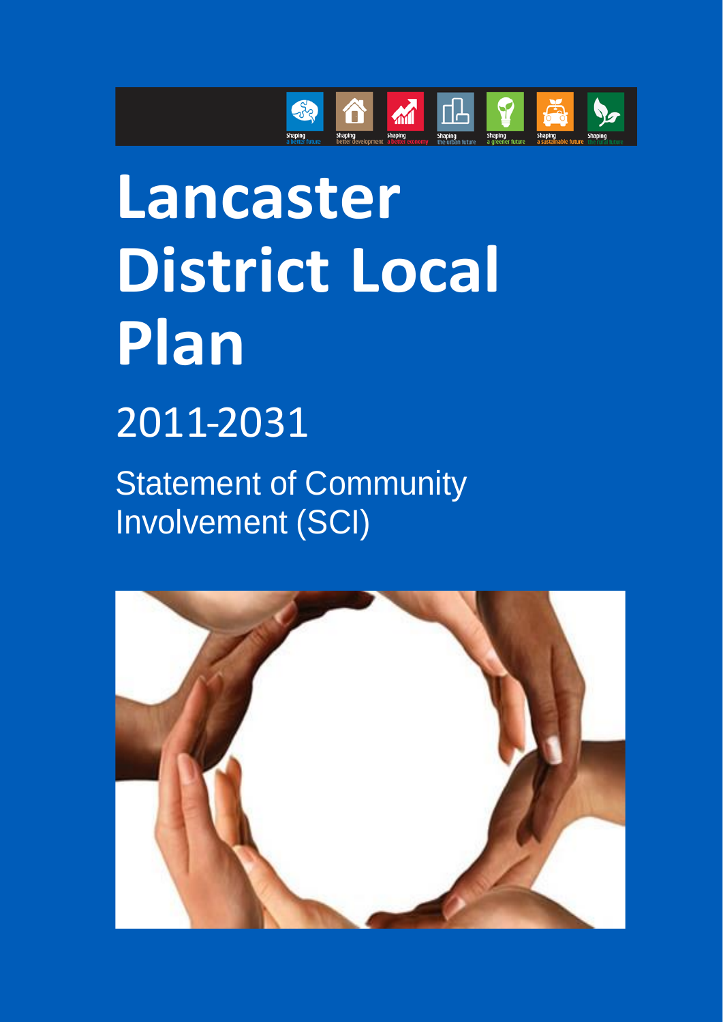

# **Lancaster District Local Plan**

# 2011-2031

Statement of Community Involvement (SCI)

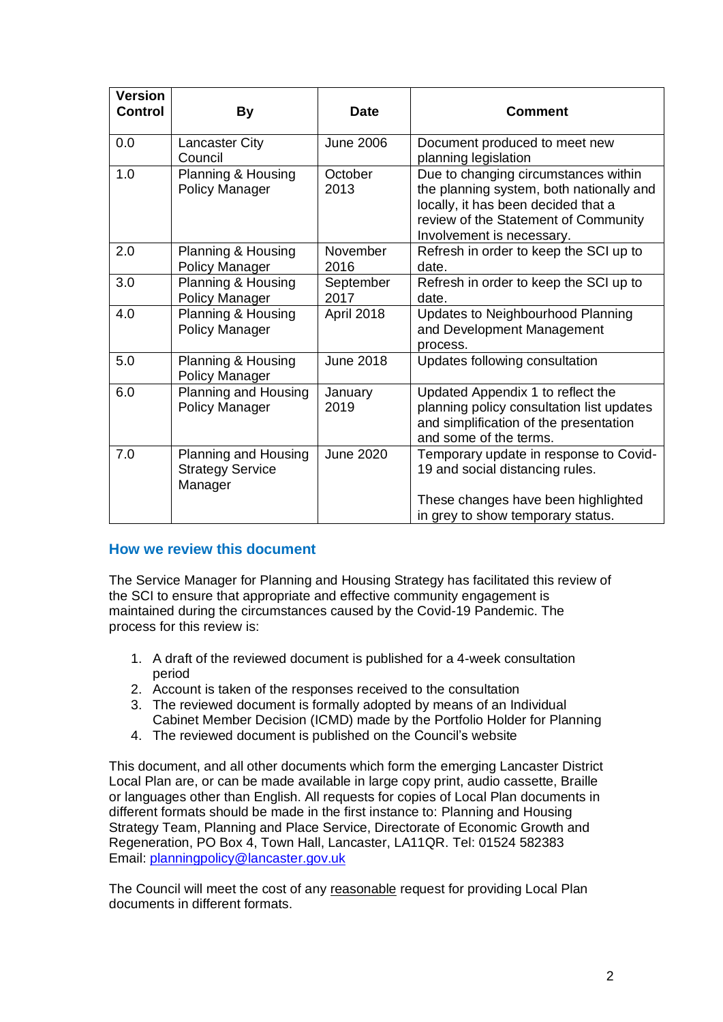| <b>Version</b><br><b>Control</b> | <b>By</b>                                                  | <b>Date</b>       | <b>Comment</b>                                                                                                                                                                               |
|----------------------------------|------------------------------------------------------------|-------------------|----------------------------------------------------------------------------------------------------------------------------------------------------------------------------------------------|
| 0.0                              | <b>Lancaster City</b><br>Council                           | <b>June 2006</b>  | Document produced to meet new<br>planning legislation                                                                                                                                        |
| 1.0                              | Planning & Housing<br><b>Policy Manager</b>                | October<br>2013   | Due to changing circumstances within<br>the planning system, both nationally and<br>locally, it has been decided that a<br>review of the Statement of Community<br>Involvement is necessary. |
| 2.0                              | Planning & Housing<br><b>Policy Manager</b>                | November<br>2016  | Refresh in order to keep the SCI up to<br>date.                                                                                                                                              |
| 3.0                              | Planning & Housing<br><b>Policy Manager</b>                | September<br>2017 | Refresh in order to keep the SCI up to<br>date.                                                                                                                                              |
| 4.0                              | Planning & Housing<br><b>Policy Manager</b>                | April 2018        | Updates to Neighbourhood Planning<br>and Development Management<br>process.                                                                                                                  |
| 5.0                              | Planning & Housing<br><b>Policy Manager</b>                | <b>June 2018</b>  | Updates following consultation                                                                                                                                                               |
| 6.0                              | Planning and Housing<br><b>Policy Manager</b>              | January<br>2019   | Updated Appendix 1 to reflect the<br>planning policy consultation list updates<br>and simplification of the presentation<br>and some of the terms.                                           |
| 7.0                              | Planning and Housing<br><b>Strategy Service</b><br>Manager | <b>June 2020</b>  | Temporary update in response to Covid-<br>19 and social distancing rules.<br>These changes have been highlighted<br>in grey to show temporary status.                                        |

#### **How we review this document**

The Service Manager for Planning and Housing Strategy has facilitated this review of the SCI to ensure that appropriate and effective community engagement is maintained during the circumstances caused by the Covid-19 Pandemic. The process for this review is:

- 1. A draft of the reviewed document is published for a 4-week consultation period
- 2. Account is taken of the responses received to the consultation
- 3. The reviewed document is formally adopted by means of an Individual Cabinet Member Decision (ICMD) made by the Portfolio Holder for Planning
- 4. The reviewed document is published on the Council's website

This document, and all other documents which form the emerging Lancaster District Local Plan are, or can be made available in large copy print, audio cassette, Braille or languages other than English. All requests for copies of Local Plan documents in different formats should be made in the first instance to: Planning and Housing Strategy Team, Planning and Place Service, Directorate of Economic Growth and Regeneration, PO Box 4, Town Hall, Lancaster, LA11QR. Tel: 01524 582383 Email: [planningpolicy@lancaster.gov.uk](mailto:planningpolicy@lancaster.gov.uk)

The Council will meet the cost of any reasonable request for providing Local Plan documents in different formats.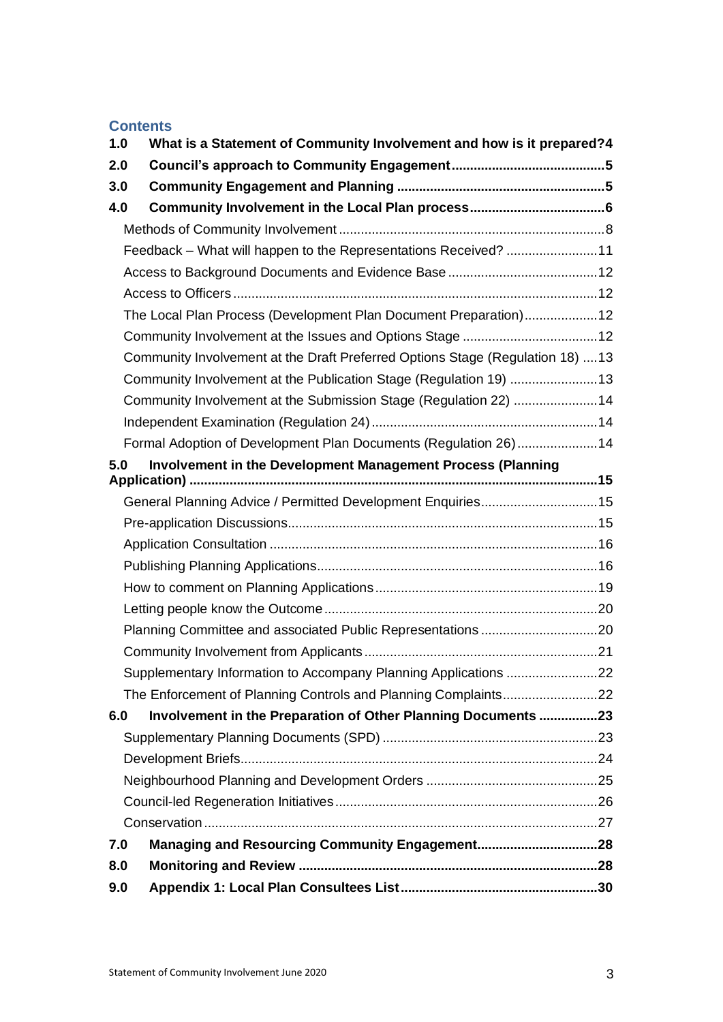| <b>Contents</b> |
|-----------------|
|-----------------|

| 1.0 | What is a Statement of Community Involvement and how is it prepared?4         |  |
|-----|-------------------------------------------------------------------------------|--|
| 2.0 |                                                                               |  |
| 3.0 |                                                                               |  |
| 4.0 |                                                                               |  |
|     |                                                                               |  |
|     | Feedback - What will happen to the Representations Received? 11               |  |
|     |                                                                               |  |
|     |                                                                               |  |
|     | The Local Plan Process (Development Plan Document Preparation)12              |  |
|     |                                                                               |  |
|     | Community Involvement at the Draft Preferred Options Stage (Regulation 18) 13 |  |
|     | Community Involvement at the Publication Stage (Regulation 19) 13             |  |
|     | Community Involvement at the Submission Stage (Regulation 22) 14              |  |
|     |                                                                               |  |
|     | Formal Adoption of Development Plan Documents (Regulation 26)14               |  |
| 5.0 | <b>Involvement in the Development Management Process (Planning</b>            |  |
|     |                                                                               |  |
|     | General Planning Advice / Permitted Development Enquiries15                   |  |
|     |                                                                               |  |
|     |                                                                               |  |
|     |                                                                               |  |
|     |                                                                               |  |
|     |                                                                               |  |
|     |                                                                               |  |
|     | Supplementary Information to Accompany Planning Applications 22               |  |
|     |                                                                               |  |
| 6.0 | Involvement in the Preparation of Other Planning Documents 23                 |  |
|     |                                                                               |  |
|     |                                                                               |  |
|     |                                                                               |  |
|     |                                                                               |  |
|     |                                                                               |  |
| 7.0 |                                                                               |  |
| 8.0 |                                                                               |  |
| 9.0 |                                                                               |  |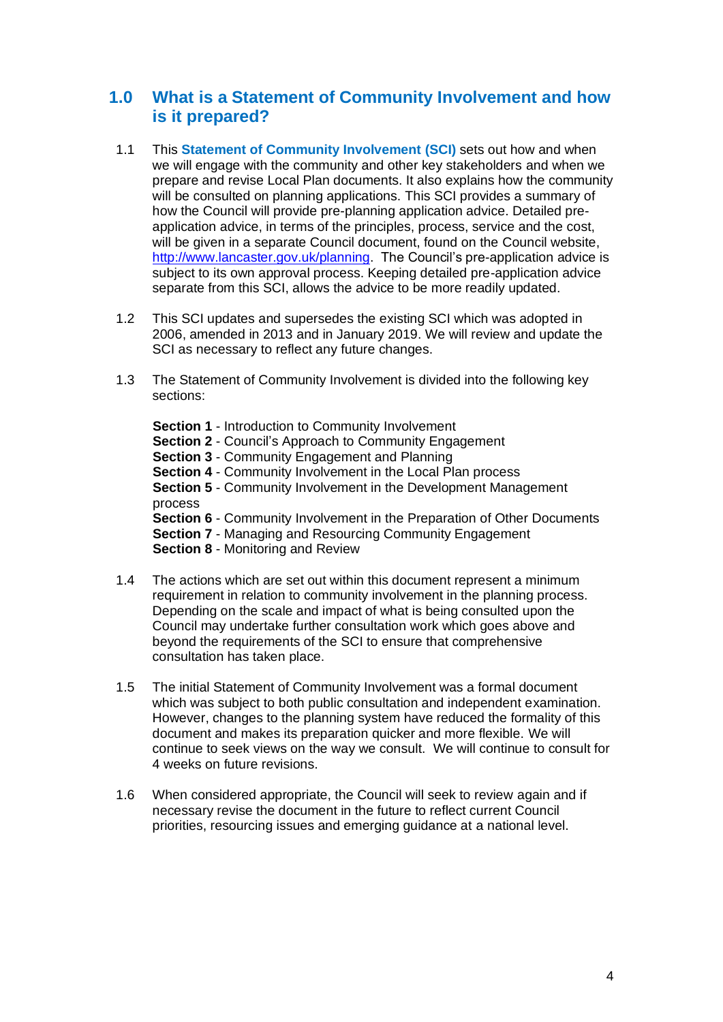# <span id="page-3-0"></span>**1.0 What is a Statement of Community Involvement and how is it prepared?**

- 1.1 This **Statement of Community Involvement (SCI)** sets out how and when we will engage with the community and other key stakeholders and when we prepare and revise Local Plan documents. It also explains how the community will be consulted on planning applications. This SCI provides a summary of how the Council will provide pre-planning application advice. Detailed preapplication advice, in terms of the principles, process, service and the cost, will be given in a separate Council document, found on the Council website, [http://www.lancaster.gov.uk/planning.](http://www.lancaster.gov.uk/planning) The Council's pre-application advice is subject to its own approval process. Keeping detailed pre-application advice separate from this SCI, allows the advice to be more readily updated.
- 1.2 This SCI updates and supersedes the existing SCI which was adopted in 2006, amended in 2013 and in January 2019. We will review and update the SCI as necessary to reflect any future changes.
- 1.3 The Statement of Community Involvement is divided into the following key sections:

**Section 1** - Introduction to Community Involvement **Section 2** - Council's Approach to Community Engagement **Section 3** - Community Engagement and Planning **Section 4** - Community Involvement in the Local Plan process **Section 5** - Community Involvement in the Development Management process **Section 6** - Community Involvement in the Preparation of Other Documents **Section 7** - Managing and Resourcing Community Engagement **Section 8** - Monitoring and Review

- 1.4 The actions which are set out within this document represent a minimum requirement in relation to community involvement in the planning process. Depending on the scale and impact of what is being consulted upon the Council may undertake further consultation work which goes above and beyond the requirements of the SCI to ensure that comprehensive consultation has taken place.
- 1.5 The initial Statement of Community Involvement was a formal document which was subject to both public consultation and independent examination. However, changes to the planning system have reduced the formality of this document and makes its preparation quicker and more flexible. We will continue to seek views on the way we consult. We will continue to consult for 4 weeks on future revisions.
- 1.6 When considered appropriate, the Council will seek to review again and if necessary revise the document in the future to reflect current Council priorities, resourcing issues and emerging guidance at a national level.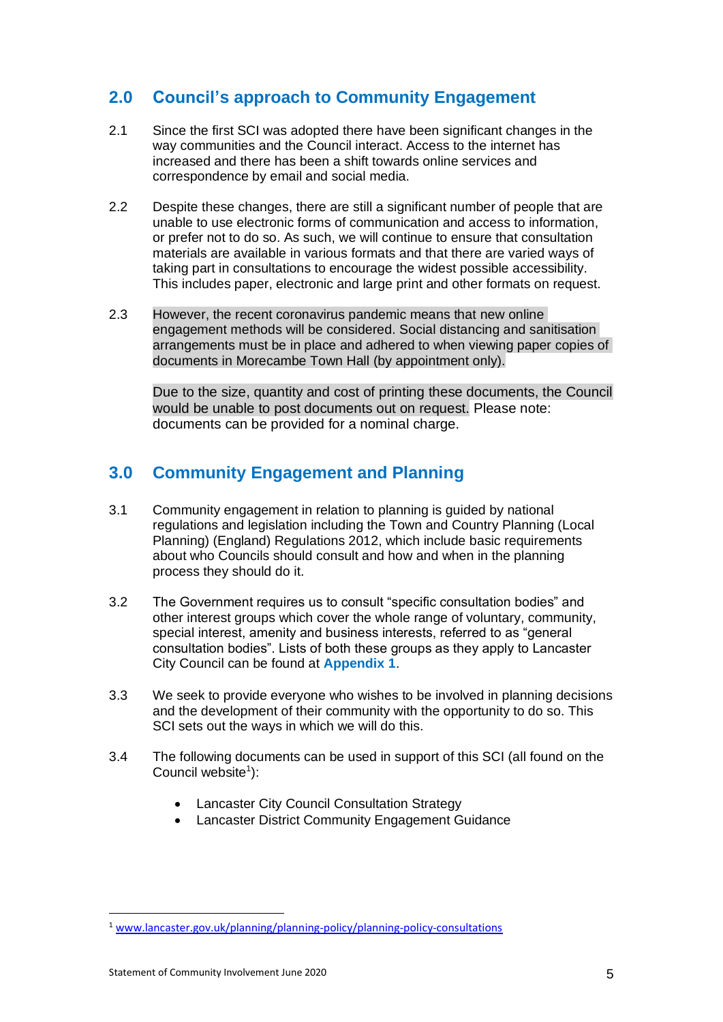# <span id="page-4-0"></span>**2.0 Council's approach to Community Engagement**

- 2.1 Since the first SCI was adopted there have been significant changes in the way communities and the Council interact. Access to the internet has increased and there has been a shift towards online services and correspondence by email and social media.
- 2.2 Despite these changes, there are still a significant number of people that are unable to use electronic forms of communication and access to information, or prefer not to do so. As such, we will continue to ensure that consultation materials are available in various formats and that there are varied ways of taking part in consultations to encourage the widest possible accessibility. This includes paper, electronic and large print and other formats on request.
- 2.3 However, the recent coronavirus pandemic means that new online engagement methods will be considered. Social distancing and sanitisation arrangements must be in place and adhered to when viewing paper copies of documents in Morecambe Town Hall (by appointment only).

2.4 Due to the size, quantity and cost of printing these documents, the Council would be unable to post documents out on request. Please note: documents can be provided for a nominal charge.

# <span id="page-4-1"></span>**3.0 Community Engagement and Planning**

- 3.1 Community engagement in relation to planning is guided by national regulations and legislation including the Town and Country Planning (Local Planning) (England) Regulations 2012, which include basic requirements about who Councils should consult and how and when in the planning process they should do it.
- 3.2 The Government requires us to consult "specific consultation bodies" and other interest groups which cover the whole range of voluntary, community, special interest, amenity and business interests, referred to as "general consultation bodies". Lists of both these groups as they apply to Lancaster City Council can be found at **Appendix 1**.
- 3.3 We seek to provide everyone who wishes to be involved in planning decisions and the development of their community with the opportunity to do so. This SCI sets out the ways in which we will do this.
- 3.4 The following documents can be used in support of this SCI (all found on the Council website<sup>1</sup>):
	- Lancaster City Council Consultation Strategy
	- Lancaster District Community Engagement Guidance

<sup>1</sup> [www.lancaster.gov.uk/planning/planning-policy/planning-policy-consultations](http://www.lancaster.gov.uk/planning/planning-policy/planning-policy-consultations)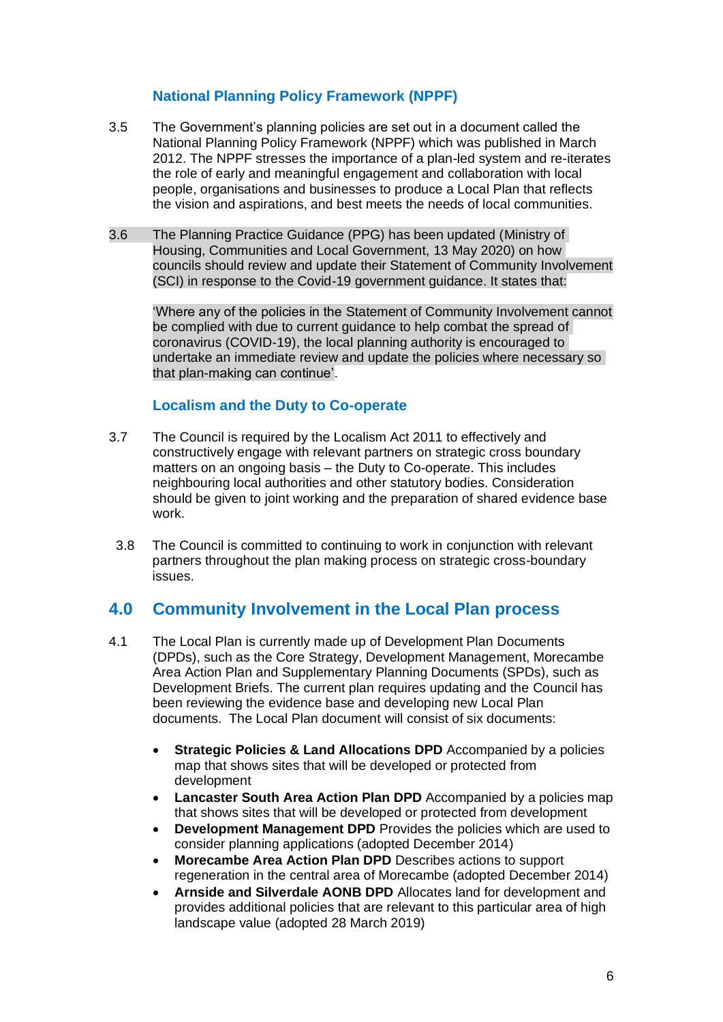#### **National Planning Policy Framework (NPPF)**

- 3.5 The Government's planning policies are set out in a document called the National Planning Policy Framework (NPPF) which was published in March 2012. The NPPF stresses the importance of a plan-led system and re-iterates the role of early and meaningful engagement and collaboration with local people, organisations and businesses to produce a Local Plan that reflects the vision and aspirations, and best meets the needs of local communities.
- 3.6 The Planning Practice Guidance (PPG) has been updated (Ministry of Housing, Communities and Local Government, 13 May 2020) on how councils should review and update their Statement of Community Involvement (SCI) in response to the Covid-19 government guidance. It states that:

'Where any of the policies in the Statement of Community Involvement cannot be complied with due to current guidance to help combat the spread of coronavirus (COVID-19), the local planning authority is encouraged to undertake an immediate review and update the policies where necessary so that plan-making can continue'.

#### **Localism and the Duty to Co-operate**

- 3.7 The Council is required by the Localism Act 2011 to effectively and constructively engage with relevant partners on strategic cross boundary matters on an ongoing basis – the Duty to Co-operate. This includes neighbouring local authorities and other statutory bodies. Consideration should be given to joint working and the preparation of shared evidence base work.
- 3.8 The Council is committed to continuing to work in conjunction with relevant partners throughout the plan making process on strategic cross-boundary issues.

# <span id="page-5-0"></span>**4.0 Community Involvement in the Local Plan process**

- 4.1 The Local Plan is currently made up of Development Plan Documents (DPDs), such as the Core Strategy, Development Management, Morecambe Area Action Plan and Supplementary Planning Documents (SPDs), such as Development Briefs. The current plan requires updating and the Council has been reviewing the evidence base and developing new Local Plan documents. The Local Plan document will consist of six documents:
	- **Strategic Policies & [Land Allocations DPD](http://www.lancaster.gov.uk/planning/planning-policy/land-allocations-dpd)** Accompanied by a policies map that shows sites that will be developed or protected from development
	- **Lancaster South Area Action Plan DPD** Accompanied by a policies map that shows sites that will be developed or protected from development
	- **[Development Management DPD](http://www.lancaster.gov.uk/planning/planning-policy/development-management-dpd)** Provides the policies which are used to consider planning applications (adopted December 2014)
	- **[Morecambe Area Action Plan DPD](http://www.lancaster.gov.uk/business/regeneration/morecambe-area-action-plan)** Describes actions to support regeneration in the central area of Morecambe (adopted December 2014)
	- **[Arnside and Silverdale AONB DPD](http://www.lancaster.gov.uk/planning/planning-policy/arnside-and-silverdale-aonb-dpd)** Allocates land for development and provides additional policies that are relevant to this particular area of high landscape value (adopted 28 March 2019)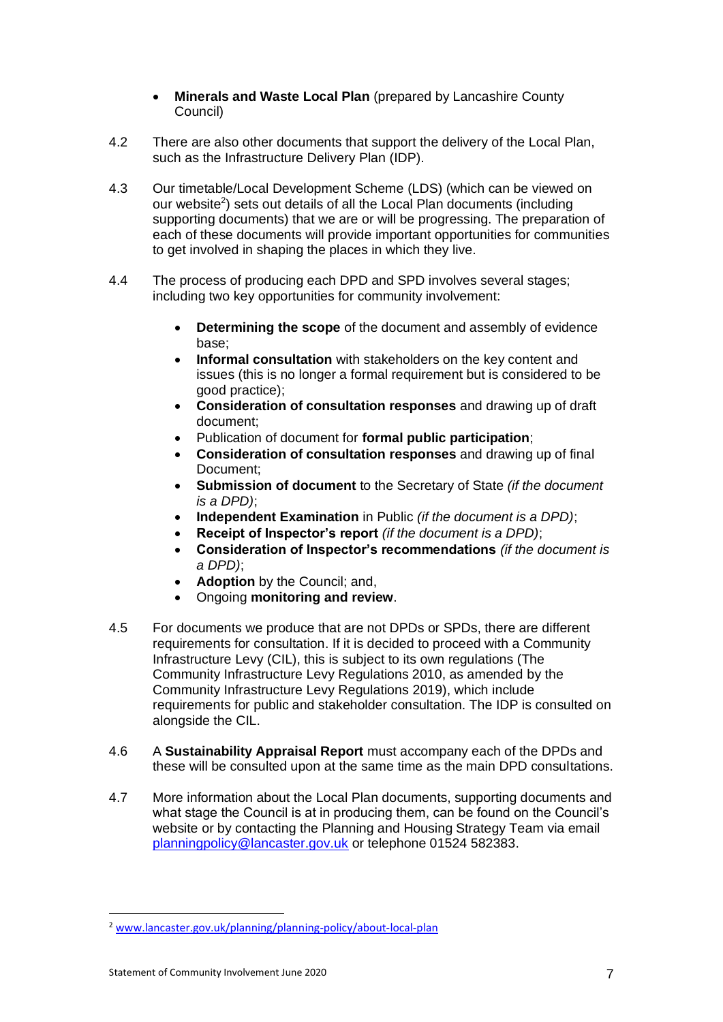- **[Minerals and Waste Local Plan](http://www.lancashire.gov.uk/council/planning/local-planning-policy-for-minerals-and-waste.aspx)** (prepared by Lancashire County Council)
- 4.2 There are also other documents that support the delivery of the Local Plan, such as the Infrastructure Delivery Plan (IDP).
- 4.3 Our timetable/Local Development Scheme (LDS) (which can be viewed on our website<sup>2</sup>) sets out details of all the Local Plan documents (including supporting documents) that we are or will be progressing. The preparation of each of these documents will provide important opportunities for communities to get involved in shaping the places in which they live.
- 4.4 The process of producing each DPD and SPD involves several stages; including two key opportunities for community involvement:
	- **Determining the scope** of the document and assembly of evidence base;
	- **Informal consultation** with stakeholders on the key content and issues (this is no longer a formal requirement but is considered to be good practice);
	- **Consideration of consultation responses** and drawing up of draft document;
	- Publication of document for **formal public participation**;
	- **Consideration of consultation responses** and drawing up of final Document;
	- **Submission of document** to the Secretary of State *(if the document is a DPD)*;
	- **Independent Examination** in Public *(if the document is a DPD)*;
	- **Receipt of Inspector's report** *(if the document is a DPD)*;
	- **Consideration of Inspector's recommendations** *(if the document is a DPD)*;
	- **Adoption** by the Council; and,
	- Ongoing **monitoring and review**.
- 4.5 For documents we produce that are not DPDs or SPDs, there are different requirements for consultation. If it is decided to proceed with a Community Infrastructure Levy (CIL), this is subject to its own regulations (The Community Infrastructure Levy Regulations 2010, as amended by the Community Infrastructure Levy Regulations 2019), which include requirements for public and stakeholder consultation. The IDP is consulted on alongside the CIL.
- 4.6 A **Sustainability Appraisal Report** must accompany each of the DPDs and these will be consulted upon at the same time as the main DPD consultations.
- 4.7 More information about the Local Plan documents, supporting documents and what stage the Council is at in producing them, can be found on the Council's website or by contacting the Planning and Housing Strategy Team via email [planningpolicy@lancaster.gov.uk](mailto:planningpolicy@lancaster.gov.uk) or telephone 01524 582383.

<span id="page-6-0"></span><sup>2</sup> [www.lancaster.gov.uk/planning/planning-policy/about-local-plan](http://www.lancaster.gov.uk/planning/planning-policy/about-local-plan)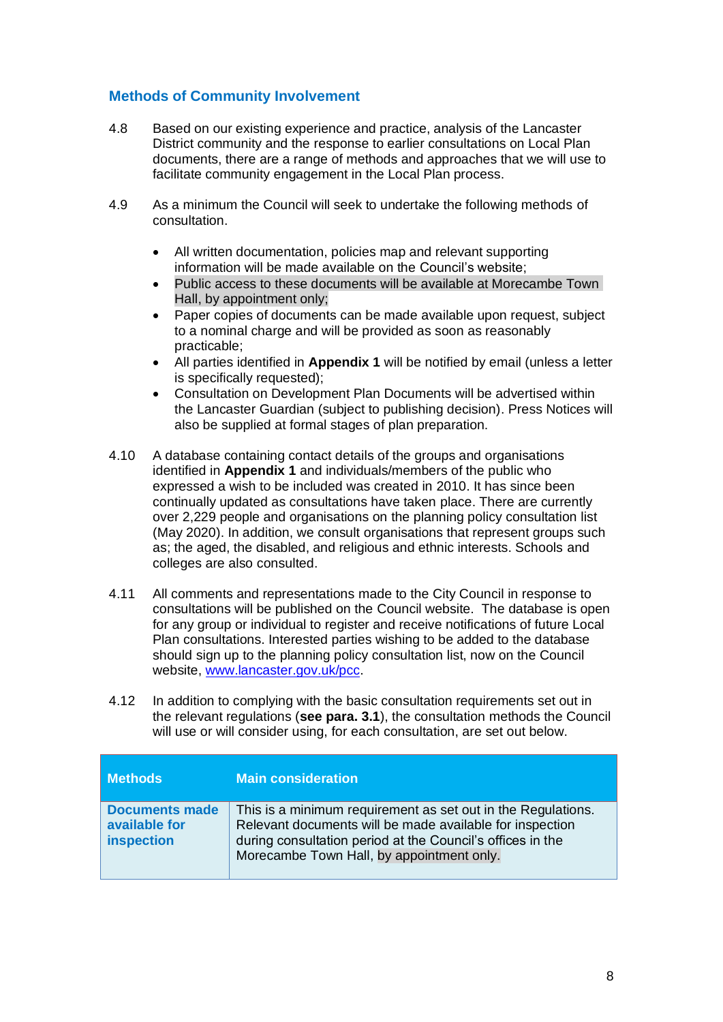#### **Methods of Community Involvement**

- 4.8 Based on our existing experience and practice, analysis of the Lancaster District community and the response to earlier consultations on Local Plan documents, there are a range of methods and approaches that we will use to facilitate community engagement in the Local Plan process.
- 4.9 As a minimum the Council will seek to undertake the following methods of consultation.
	- All written documentation, policies map and relevant supporting information will be made available on the Council's website;
	- Public access to these documents will be available at Morecambe Town Hall, by appointment only;
	- Paper copies of documents can be made available upon request, subject to a nominal charge and will be provided as soon as reasonably practicable;
	- All parties identified in **Appendix 1** will be notified by email (unless a letter is specifically requested);
	- Consultation on Development Plan Documents will be advertised within the Lancaster Guardian (subject to publishing decision). Press Notices will also be supplied at formal stages of plan preparation.
- 4.10 A database containing contact details of the groups and organisations identified in **Appendix 1** and individuals/members of the public who expressed a wish to be included was created in 2010. It has since been continually updated as consultations have taken place. There are currently over 2,229 people and organisations on the planning policy consultation list (May 2020). In addition, we consult organisations that represent groups such as; the aged, the disabled, and religious and ethnic interests. Schools and colleges are also consulted.
- 4.11 All comments and representations made to the City Council in response to consultations will be published on the Council website. The database is open for any group or individual to register and receive notifications of future Local Plan consultations. Interested parties wishing to be added to the database should sign up to the planning policy consultation list, now on the Council website, [www.lancaster.gov.uk/pcc.](http://www.lancaster.gov.uk/pcc)
- 4.12 In addition to complying with the basic consultation requirements set out in the relevant regulations (**see para. 3.1**), the consultation methods the Council will use or will consider using, for each consultation, are set out below.

| <b>Methods</b>                                       | <b>Main consideration</b>                                                                                                                                                                                                           |
|------------------------------------------------------|-------------------------------------------------------------------------------------------------------------------------------------------------------------------------------------------------------------------------------------|
| <b>Documents made</b><br>available for<br>inspection | This is a minimum requirement as set out in the Regulations.<br>Relevant documents will be made available for inspection<br>during consultation period at the Council's offices in the<br>Morecambe Town Hall, by appointment only. |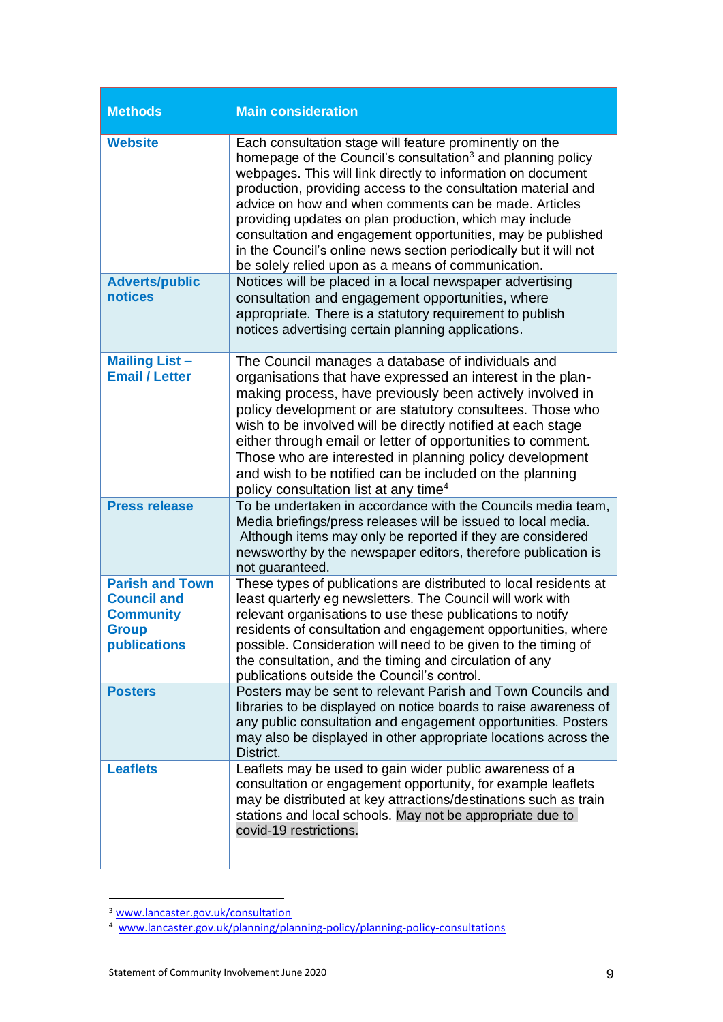| <b>Methods</b>                                                                                   | <b>Main consideration</b>                                                                                                                                                                                                                                                                                                                                                                                                                                                                                                                                                         |
|--------------------------------------------------------------------------------------------------|-----------------------------------------------------------------------------------------------------------------------------------------------------------------------------------------------------------------------------------------------------------------------------------------------------------------------------------------------------------------------------------------------------------------------------------------------------------------------------------------------------------------------------------------------------------------------------------|
| <b>Website</b>                                                                                   | Each consultation stage will feature prominently on the<br>homepage of the Council's consultation <sup>3</sup> and planning policy<br>webpages. This will link directly to information on document<br>production, providing access to the consultation material and<br>advice on how and when comments can be made. Articles<br>providing updates on plan production, which may include<br>consultation and engagement opportunities, may be published<br>in the Council's online news section periodically but it will not<br>be solely relied upon as a means of communication. |
| <b>Adverts/public</b><br>notices                                                                 | Notices will be placed in a local newspaper advertising<br>consultation and engagement opportunities, where<br>appropriate. There is a statutory requirement to publish<br>notices advertising certain planning applications.                                                                                                                                                                                                                                                                                                                                                     |
| <b>Mailing List-</b><br><b>Email / Letter</b>                                                    | The Council manages a database of individuals and<br>organisations that have expressed an interest in the plan-<br>making process, have previously been actively involved in<br>policy development or are statutory consultees. Those who<br>wish to be involved will be directly notified at each stage<br>either through email or letter of opportunities to comment.<br>Those who are interested in planning policy development<br>and wish to be notified can be included on the planning<br>policy consultation list at any time <sup>4</sup>                                |
| <b>Press release</b>                                                                             | To be undertaken in accordance with the Councils media team,<br>Media briefings/press releases will be issued to local media.<br>Although items may only be reported if they are considered<br>newsworthy by the newspaper editors, therefore publication is<br>not guaranteed.                                                                                                                                                                                                                                                                                                   |
| <b>Parish and Town</b><br><b>Council and</b><br><b>Community</b><br><b>Group</b><br>publications | These types of publications are distributed to local residents at<br>least quarterly eg newsletters. The Council will work with<br>relevant organisations to use these publications to notify<br>residents of consultation and engagement opportunities, where<br>possible. Consideration will need to be given to the timing of<br>the consultation, and the timing and circulation of any<br>publications outside the Council's control.                                                                                                                                        |
| <b>Posters</b>                                                                                   | Posters may be sent to relevant Parish and Town Councils and<br>libraries to be displayed on notice boards to raise awareness of<br>any public consultation and engagement opportunities. Posters<br>may also be displayed in other appropriate locations across the<br>District.                                                                                                                                                                                                                                                                                                 |
| <b>Leaflets</b>                                                                                  | Leaflets may be used to gain wider public awareness of a<br>consultation or engagement opportunity, for example leaflets<br>may be distributed at key attractions/destinations such as train<br>stations and local schools. May not be appropriate due to<br>covid-19 restrictions.                                                                                                                                                                                                                                                                                               |

<sup>&</sup>lt;sup>3</sup> [www.lancaster.gov.uk/consultation](http://www.lancaster.gov.uk/consultation)

<sup>4</sup> [www.lancaster.gov.uk/planning/planning-policy/planning-policy-consultations](http://www.lancaster.gov.uk/planning/planning-policy/planning-policy-consultations)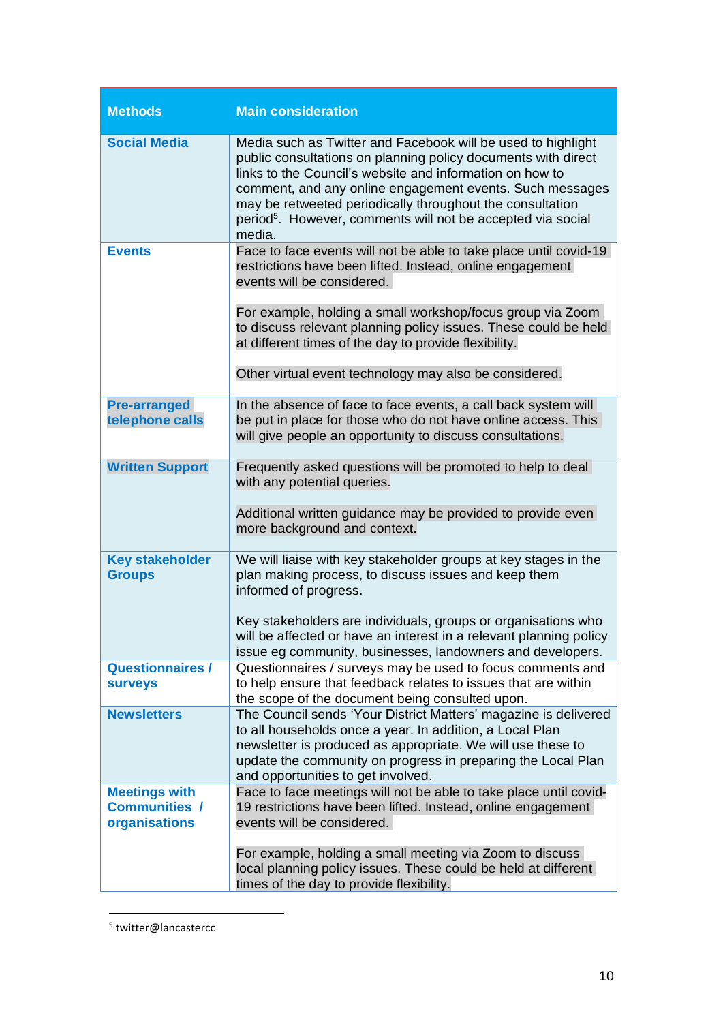| <b>Methods</b>                                                | <b>Main consideration</b>                                                                                                                                                                                                                                                                                                                                                                               |
|---------------------------------------------------------------|---------------------------------------------------------------------------------------------------------------------------------------------------------------------------------------------------------------------------------------------------------------------------------------------------------------------------------------------------------------------------------------------------------|
| <b>Social Media</b>                                           | Media such as Twitter and Facebook will be used to highlight<br>public consultations on planning policy documents with direct<br>links to the Council's website and information on how to<br>comment, and any online engagement events. Such messages<br>may be retweeted periodically throughout the consultation<br>period <sup>5</sup> . However, comments will not be accepted via social<br>media. |
| <b>Events</b>                                                 | Face to face events will not be able to take place until covid-19<br>restrictions have been lifted. Instead, online engagement<br>events will be considered.                                                                                                                                                                                                                                            |
|                                                               | For example, holding a small workshop/focus group via Zoom<br>to discuss relevant planning policy issues. These could be held<br>at different times of the day to provide flexibility.                                                                                                                                                                                                                  |
|                                                               | Other virtual event technology may also be considered.                                                                                                                                                                                                                                                                                                                                                  |
| <b>Pre-arranged</b><br>telephone calls                        | In the absence of face to face events, a call back system will<br>be put in place for those who do not have online access. This<br>will give people an opportunity to discuss consultations.                                                                                                                                                                                                            |
| <b>Written Support</b>                                        | Frequently asked questions will be promoted to help to deal<br>with any potential queries.                                                                                                                                                                                                                                                                                                              |
|                                                               | Additional written guidance may be provided to provide even<br>more background and context.                                                                                                                                                                                                                                                                                                             |
| <b>Key stakeholder</b><br><b>Groups</b>                       | We will liaise with key stakeholder groups at key stages in the<br>plan making process, to discuss issues and keep them<br>informed of progress.                                                                                                                                                                                                                                                        |
|                                                               | Key stakeholders are individuals, groups or organisations who<br>will be affected or have an interest in a relevant planning policy<br>issue eg community, businesses, landowners and developers.                                                                                                                                                                                                       |
| <b>Questionnaires /</b><br><b>surveys</b>                     | Questionnaires / surveys may be used to focus comments and<br>to help ensure that feedback relates to issues that are within<br>the scope of the document being consulted upon.                                                                                                                                                                                                                         |
| <b>Newsletters</b>                                            | The Council sends 'Your District Matters' magazine is delivered<br>to all households once a year. In addition, a Local Plan<br>newsletter is produced as appropriate. We will use these to<br>update the community on progress in preparing the Local Plan<br>and opportunities to get involved.                                                                                                        |
| <b>Meetings with</b><br><b>Communities /</b><br>organisations | Face to face meetings will not be able to take place until covid-<br>19 restrictions have been lifted. Instead, online engagement<br>events will be considered.                                                                                                                                                                                                                                         |
|                                                               | For example, holding a small meeting via Zoom to discuss<br>local planning policy issues. These could be held at different<br>times of the day to provide flexibility.                                                                                                                                                                                                                                  |

<sup>5</sup> twitter@lancastercc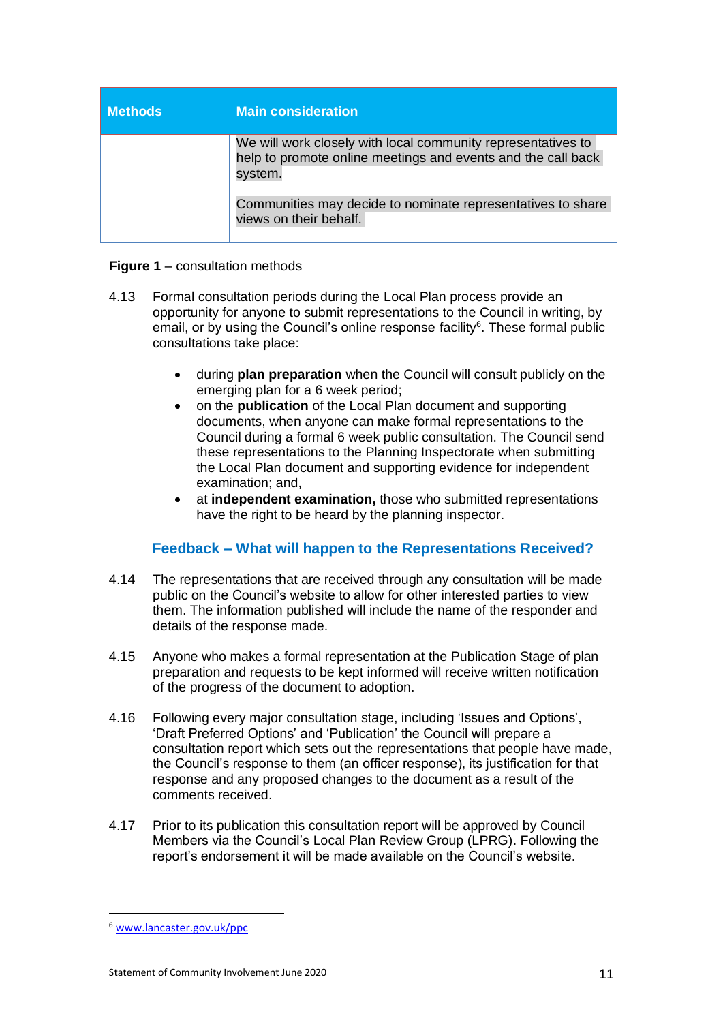| <b>Methods</b> | <b>Main consideration</b>                                                                                                               |
|----------------|-----------------------------------------------------------------------------------------------------------------------------------------|
|                | We will work closely with local community representatives to<br>help to promote online meetings and events and the call back<br>system. |
|                | Communities may decide to nominate representatives to share<br>views on their behalf.                                                   |

#### **Figure 1** – consultation methods

- 4.13 Formal consultation periods during the Local Plan process provide an opportunity for anyone to submit representations to the Council in writing, by email, or by using the Council's online response facility<sup>6</sup>. These formal public consultations take place:
	- during **plan preparation** when the Council will consult publicly on the emerging plan for a 6 week period;
	- on the **publication** of the Local Plan document and supporting documents, when anyone can make formal representations to the Council during a formal 6 week public consultation. The Council send these representations to the Planning Inspectorate when submitting the Local Plan document and supporting evidence for independent examination; and,
	- at **independent examination,** those who submitted representations have the right to be heard by the planning inspector.

#### **Feedback – What will happen to the Representations Received?**

- <span id="page-10-0"></span>4.14 The representations that are received through any consultation will be made public on the Council's website to allow for other interested parties to view them. The information published will include the name of the responder and details of the response made.
- 4.15 Anyone who makes a formal representation at the Publication Stage of plan preparation and requests to be kept informed will receive written notification of the progress of the document to adoption.
- 4.16 Following every major consultation stage, including 'Issues and Options', 'Draft Preferred Options' and 'Publication' the Council will prepare a consultation report which sets out the representations that people have made, the Council's response to them (an officer response), its justification for that response and any proposed changes to the document as a result of the comments received.
- 4.17 Prior to its publication this consultation report will be approved by Council Members via the Council's Local Plan Review Group (LPRG). Following the report's endorsement it will be made available on the Council's website.

<span id="page-10-1"></span><sup>6</sup> [www.lancaster.gov.uk/ppc](http://www.lancaster.gov.uk/ppc)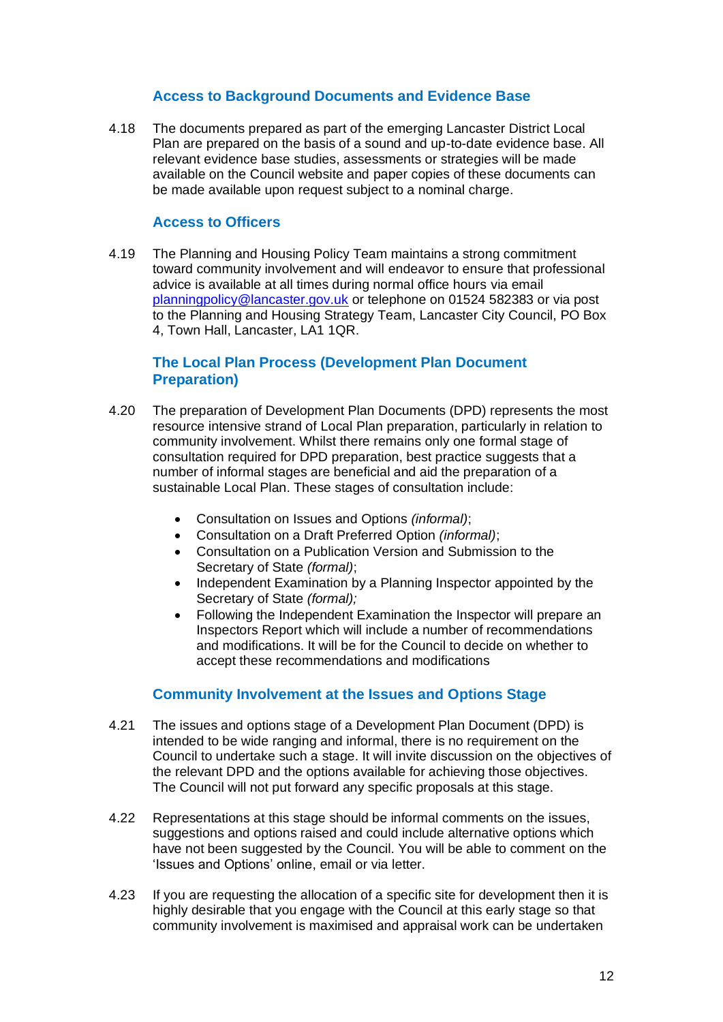#### **Access to Background Documents and Evidence Base**

4.18 The documents prepared as part of the emerging Lancaster District Local Plan are prepared on the basis of a sound and up-to-date evidence base. All relevant evidence base studies, assessments or strategies will be made available on the Council website and paper copies of these documents can be made available upon request subject to a nominal charge.

#### **Access to Officers**

<span id="page-11-0"></span>4.19 The Planning and Housing Policy Team maintains a strong commitment toward community involvement and will endeavor to ensure that professional advice is available at all times during normal office hours via email [planningpolicy@lancaster.gov.uk](mailto:planningpolicy@lancaster.gov.uk) or telephone on 01524 582383 or via post to the Planning and Housing Strategy Team, Lancaster City Council, PO Box 4, Town Hall, Lancaster, LA1 1QR.

#### <span id="page-11-1"></span>**The Local Plan Process (Development Plan Document Preparation)**

- 4.20 The preparation of Development Plan Documents (DPD) represents the most resource intensive strand of Local Plan preparation, particularly in relation to community involvement. Whilst there remains only one formal stage of consultation required for DPD preparation, best practice suggests that a number of informal stages are beneficial and aid the preparation of a sustainable Local Plan. These stages of consultation include:
	- Consultation on Issues and Options *(informal)*;
	- Consultation on a Draft Preferred Option *(informal)*;
	- Consultation on a Publication Version and Submission to the Secretary of State *(formal)*;
	- Independent Examination by a Planning Inspector appointed by the Secretary of State *(formal);*
	- Following the Independent Examination the Inspector will prepare an Inspectors Report which will include a number of recommendations and modifications. It will be for the Council to decide on whether to accept these recommendations and modifications

#### **Community Involvement at the Issues and Options Stage**

- <span id="page-11-2"></span>4.21 The issues and options stage of a Development Plan Document (DPD) is intended to be wide ranging and informal, there is no requirement on the Council to undertake such a stage. It will invite discussion on the objectives of the relevant DPD and the options available for achieving those objectives. The Council will not put forward any specific proposals at this stage.
- 4.22 Representations at this stage should be informal comments on the issues, suggestions and options raised and could include alternative options which have not been suggested by the Council. You will be able to comment on the 'Issues and Options' online, email or via letter.
- 4.23 If you are requesting the allocation of a specific site for development then it is highly desirable that you engage with the Council at this early stage so that community involvement is maximised and appraisal work can be undertaken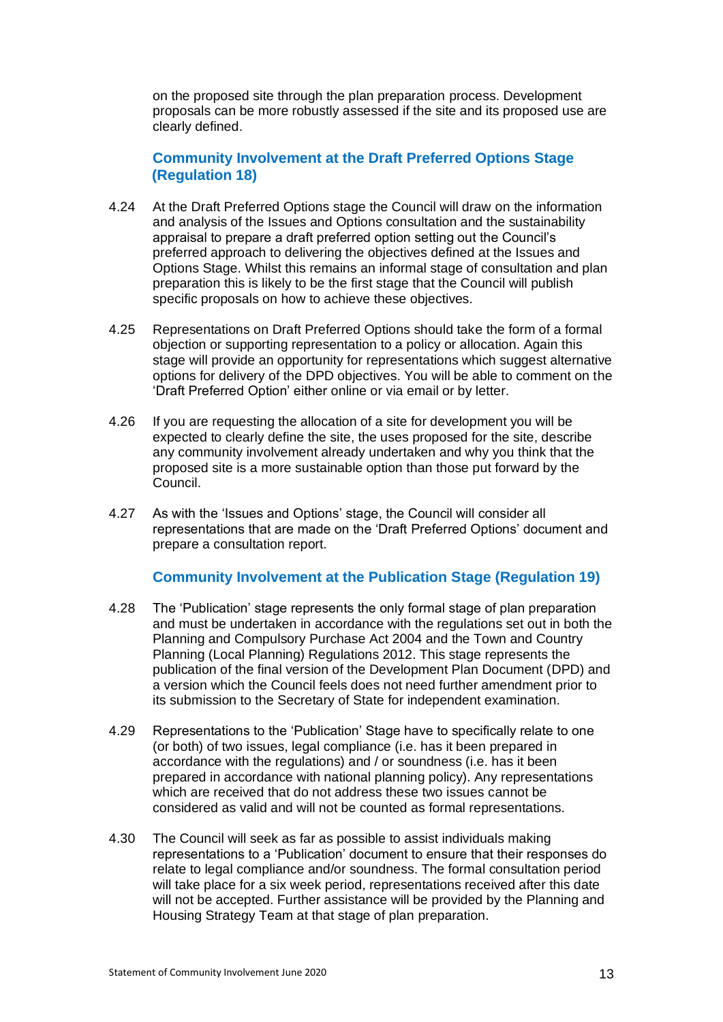on the proposed site through the plan preparation process. Development proposals can be more robustly assessed if the site and its proposed use are clearly defined.

#### <span id="page-12-0"></span>**Community Involvement at the Draft Preferred Options Stage (Regulation 18)**

- 4.24 At the Draft Preferred Options stage the Council will draw on the information and analysis of the Issues and Options consultation and the sustainability appraisal to prepare a draft preferred option setting out the Council's preferred approach to delivering the objectives defined at the Issues and Options Stage. Whilst this remains an informal stage of consultation and plan preparation this is likely to be the first stage that the Council will publish specific proposals on how to achieve these objectives.
- 4.25 Representations on Draft Preferred Options should take the form of a formal objection or supporting representation to a policy or allocation. Again this stage will provide an opportunity for representations which suggest alternative options for delivery of the DPD objectives. You will be able to comment on the 'Draft Preferred Option' either online or via email or by letter.
- 4.26 If you are requesting the allocation of a site for development you will be expected to clearly define the site, the uses proposed for the site, describe any community involvement already undertaken and why you think that the proposed site is a more sustainable option than those put forward by the Council.
- 4.27 As with the 'Issues and Options' stage, the Council will consider all representations that are made on the 'Draft Preferred Options' document and prepare a consultation report.

#### <span id="page-12-1"></span>**Community Involvement at the Publication Stage (Regulation 19)**

- 4.28 The 'Publication' stage represents the only formal stage of plan preparation and must be undertaken in accordance with the regulations set out in both the Planning and Compulsory Purchase Act 2004 and the Town and Country Planning (Local Planning) Regulations 2012. This stage represents the publication of the final version of the Development Plan Document (DPD) and a version which the Council feels does not need further amendment prior to its submission to the Secretary of State for independent examination.
- 4.29 Representations to the 'Publication' Stage have to specifically relate to one (or both) of two issues, legal compliance (i.e. has it been prepared in accordance with the regulations) and / or soundness (i.e. has it been prepared in accordance with national planning policy). Any representations which are received that do not address these two issues cannot be considered as valid and will not be counted as formal representations.
- 4.30 The Council will seek as far as possible to assist individuals making representations to a 'Publication' document to ensure that their responses do relate to legal compliance and/or soundness. The formal consultation period will take place for a six week period, representations received after this date will not be accepted. Further assistance will be provided by the Planning and Housing Strategy Team at that stage of plan preparation.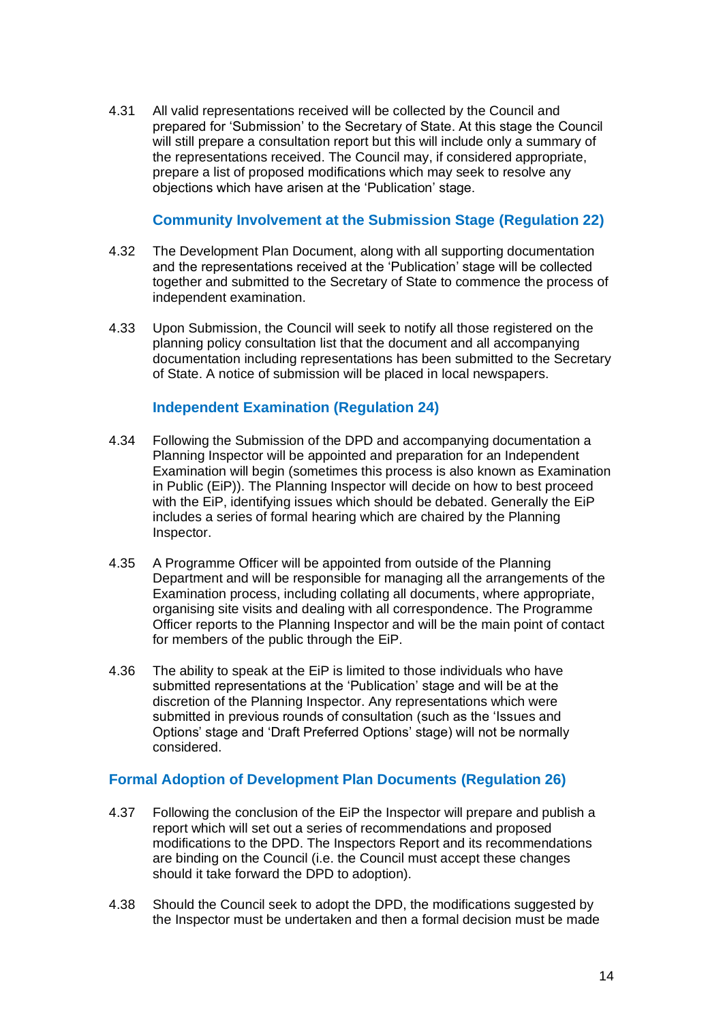4.31 All valid representations received will be collected by the Council and prepared for 'Submission' to the Secretary of State. At this stage the Council will still prepare a consultation report but this will include only a summary of the representations received. The Council may, if considered appropriate, prepare a list of proposed modifications which may seek to resolve any objections which have arisen at the 'Publication' stage.

#### <span id="page-13-0"></span>**Community Involvement at the Submission Stage (Regulation 22)**

- 4.32 The Development Plan Document, along with all supporting documentation and the representations received at the 'Publication' stage will be collected together and submitted to the Secretary of State to commence the process of independent examination.
- 4.33 Upon Submission, the Council will seek to notify all those registered on the planning policy consultation list that the document and all accompanying documentation including representations has been submitted to the Secretary of State. A notice of submission will be placed in local newspapers.

#### **Independent Examination (Regulation 24)**

- <span id="page-13-1"></span>4.34 Following the Submission of the DPD and accompanying documentation a Planning Inspector will be appointed and preparation for an Independent Examination will begin (sometimes this process is also known as Examination in Public (EiP)). The Planning Inspector will decide on how to best proceed with the EiP, identifying issues which should be debated. Generally the EiP includes a series of formal hearing which are chaired by the Planning Inspector.
- 4.35 A Programme Officer will be appointed from outside of the Planning Department and will be responsible for managing all the arrangements of the Examination process, including collating all documents, where appropriate, organising site visits and dealing with all correspondence. The Programme Officer reports to the Planning Inspector and will be the main point of contact for members of the public through the EiP.
- 4.36 The ability to speak at the EiP is limited to those individuals who have submitted representations at the 'Publication' stage and will be at the discretion of the Planning Inspector. Any representations which were submitted in previous rounds of consultation (such as the 'Issues and Options' stage and 'Draft Preferred Options' stage) will not be normally considered.

#### <span id="page-13-2"></span>**Formal Adoption of Development Plan Documents (Regulation 26)**

- 4.37 Following the conclusion of the EiP the Inspector will prepare and publish a report which will set out a series of recommendations and proposed modifications to the DPD. The Inspectors Report and its recommendations are binding on the Council (i.e. the Council must accept these changes should it take forward the DPD to adoption).
- 4.38 Should the Council seek to adopt the DPD, the modifications suggested by the Inspector must be undertaken and then a formal decision must be made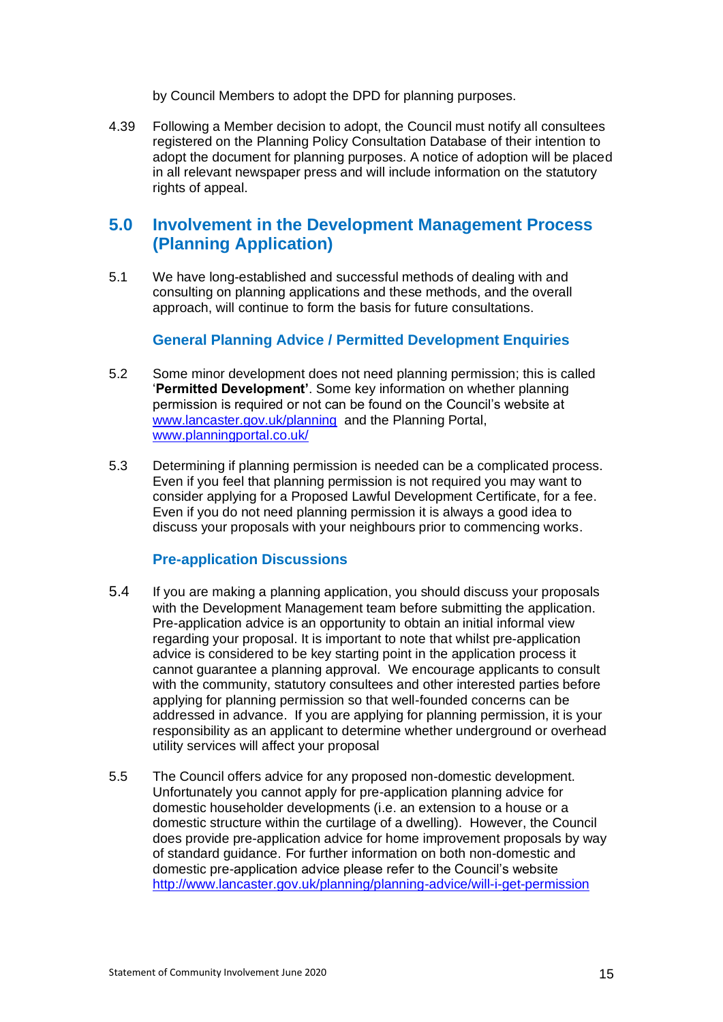by Council Members to adopt the DPD for planning purposes.

4.39 Following a Member decision to adopt, the Council must notify all consultees registered on the Planning Policy Consultation Database of their intention to adopt the document for planning purposes. A notice of adoption will be placed in all relevant newspaper press and will include information on the statutory rights of appeal.

# <span id="page-14-0"></span>**5.0 Involvement in the Development Management Process (Planning Application)**

5.1 We have long-established and successful methods of dealing with and consulting on planning applications and these methods, and the overall approach, will continue to form the basis for future consultations.

#### <span id="page-14-1"></span>**General Planning Advice / Permitted Development Enquiries**

- 5.2 Some minor development does not need planning permission; this is called '**Permitted Development'**. Some key information on whether planning permission is required or not can be found on the Council's website at [www.lancaster.gov.uk/planning](http://www.lancaster.gov.uk/planning) and the Planning Portal, [www.planningportal.co.uk/](http://www.planningportal.co.uk/)
- 5.3 Determining if planning permission is needed can be a complicated process. Even if you feel that planning permission is not required you may want to consider applying for a Proposed Lawful Development Certificate, for a fee. Even if you do not need planning permission it is always a good idea to discuss your proposals with your neighbours prior to commencing works.

#### <span id="page-14-2"></span>**Pre-application Discussions**

- 5.4 If you are making a planning application, you should discuss your proposals with the Development Management team before submitting the application. Pre-application advice is an opportunity to obtain an initial informal view regarding your proposal. It is important to note that whilst pre-application advice is considered to be key starting point in the application process it cannot guarantee a planning approval. We encourage applicants to consult with the community, statutory consultees and other interested parties before applying for planning permission so that well-founded concerns can be addressed in advance. If you are applying for planning permission, it is your responsibility as an applicant to determine whether underground or overhead utility services will affect your proposal
- <span id="page-14-3"></span>5.5 The Council offers advice for any proposed non-domestic development. Unfortunately you cannot apply for pre-application planning advice for domestic householder developments (i.e. an extension to a house or a domestic structure within the curtilage of a dwelling). However, the Council does provide pre-application advice for home improvement proposals by way of standard guidance. For further information on both non-domestic and domestic pre-application advice please refer to the Council's website <http://www.lancaster.gov.uk/planning/planning-advice/will-i-get-permission>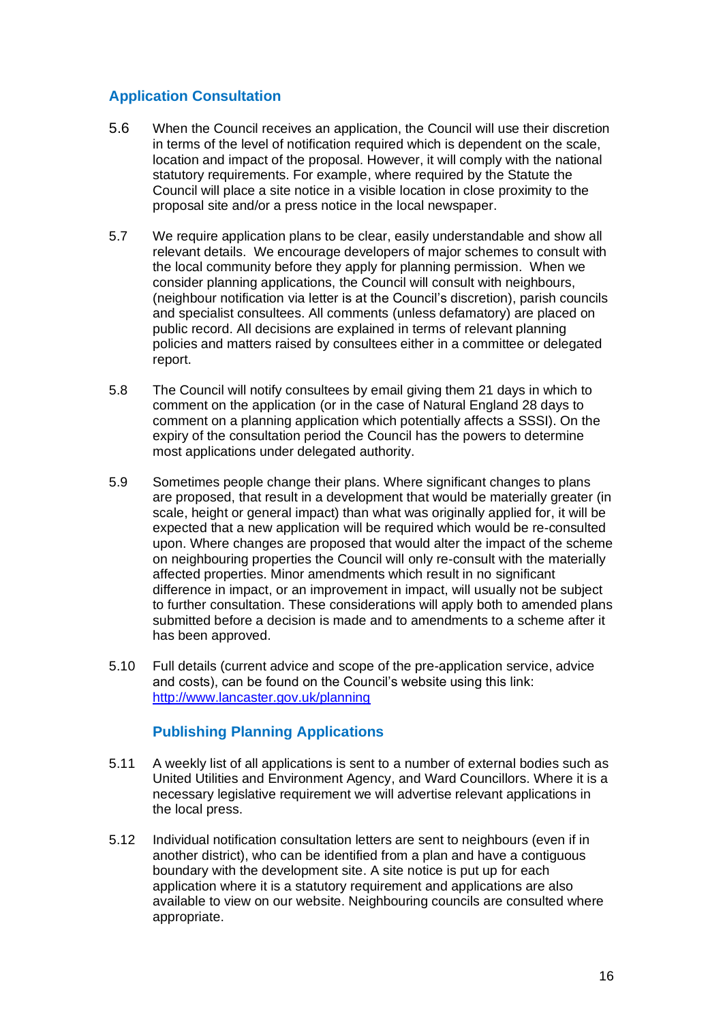#### **Application Consultation**

- 5.6 When the Council receives an application, the Council will use their discretion in terms of the level of notification required which is dependent on the scale, location and impact of the proposal. However, it will comply with the national statutory requirements. For example, where required by the Statute the Council will place a site notice in a visible location in close proximity to the proposal site and/or a press notice in the local newspaper.
- 5.7 We require application plans to be clear, easily understandable and show all relevant details. We encourage developers of major schemes to consult with the local community before they apply for planning permission. When we consider planning applications, the Council will consult with neighbours, (neighbour notification via letter is at the Council's discretion), parish councils and specialist consultees. All comments (unless defamatory) are placed on public record. All decisions are explained in terms of relevant planning policies and matters raised by consultees either in a committee or delegated report.
- 5.8 The Council will notify consultees by email giving them 21 days in which to comment on the application (or in the case of Natural England 28 days to comment on a planning application which potentially affects a SSSI). On the expiry of the consultation period the Council has the powers to determine most applications under delegated authority.
- 5.9 Sometimes people change their plans. Where significant changes to plans are proposed, that result in a development that would be materially greater (in scale, height or general impact) than what was originally applied for, it will be expected that a new application will be required which would be re-consulted upon. Where changes are proposed that would alter the impact of the scheme on neighbouring properties the Council will only re-consult with the materially affected properties. Minor amendments which result in no significant difference in impact, or an improvement in impact, will usually not be subject to further consultation. These considerations will apply both to amended plans submitted before a decision is made and to amendments to a scheme after it has been approved.
- 5.10 Full details (current advice and scope of the pre-application service, advice and costs), can be found on the Council's website using this link: <http://www.lancaster.gov.uk/planning>

#### **Publishing Planning Applications**

- <span id="page-15-0"></span>5.11 A weekly list of all applications is sent to a number of external bodies such as United Utilities and Environment Agency, and Ward Councillors. Where it is a necessary legislative requirement we will advertise relevant applications in the local press.
- 5.12 Individual notification consultation letters are sent to neighbours (even if in another district), who can be identified from a plan and have a contiguous boundary with the development site. A site notice is put up for each application where it is a statutory requirement and applications are also available to view on our website. Neighbouring councils are consulted where appropriate.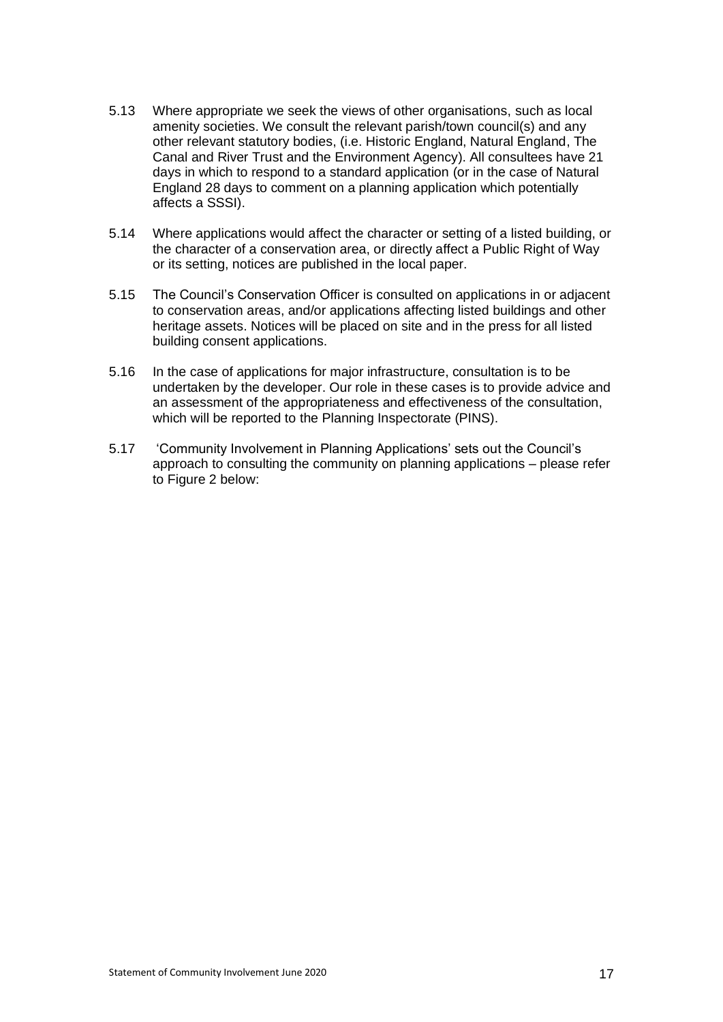- 5.13 Where appropriate we seek the views of other organisations, such as local amenity societies. We consult the relevant parish/town council(s) and any other relevant statutory bodies, (i.e. Historic England, Natural England, The Canal and River Trust and the Environment Agency). All consultees have 21 days in which to respond to a standard application (or in the case of Natural England 28 days to comment on a planning application which potentially affects a SSSI).
- 5.14 Where applications would affect the character or setting of a listed building, or the character of a conservation area, or directly affect a Public Right of Way or its setting, notices are published in the local paper.
- 5.15 The Council's Conservation Officer is consulted on applications in or adjacent to conservation areas, and/or applications affecting listed buildings and other heritage assets. Notices will be placed on site and in the press for all listed building consent applications.
- 5.16 In the case of applications for major infrastructure, consultation is to be undertaken by the developer. Our role in these cases is to provide advice and an assessment of the appropriateness and effectiveness of the consultation, which will be reported to the Planning Inspectorate (PINS).
- 5.17 'Community Involvement in Planning Applications' sets out the Council's approach to consulting the community on planning applications – please refer to Figure 2 below: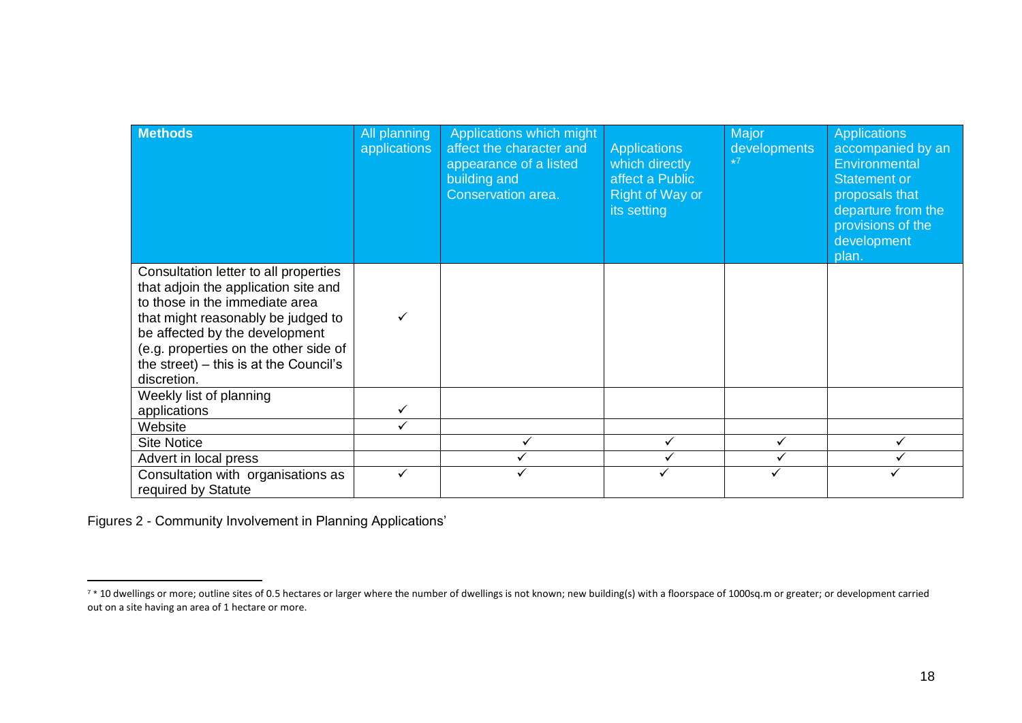| <b>Methods</b>                                                                                                                                                                                                                                                                              | All planning<br>applications | Applications which might<br>affect the character and<br>appearance of a listed<br>building and<br>Conservation area. | <b>Applications</b><br>which directly<br>affect a Public<br><b>Right of Way or</b><br>its setting | Major<br>developments<br>$*7$ | <b>Applications</b><br>accompanied by an<br>Environmental<br><b>Statement or</b><br>proposals that<br>departure from the<br>provisions of the<br>development<br>plan. |
|---------------------------------------------------------------------------------------------------------------------------------------------------------------------------------------------------------------------------------------------------------------------------------------------|------------------------------|----------------------------------------------------------------------------------------------------------------------|---------------------------------------------------------------------------------------------------|-------------------------------|-----------------------------------------------------------------------------------------------------------------------------------------------------------------------|
| Consultation letter to all properties<br>that adjoin the application site and<br>to those in the immediate area<br>that might reasonably be judged to<br>be affected by the development<br>(e.g. properties on the other side of<br>the street) $-$ this is at the Council's<br>discretion. | ✓                            |                                                                                                                      |                                                                                                   |                               |                                                                                                                                                                       |
| Weekly list of planning<br>applications                                                                                                                                                                                                                                                     | ✓                            |                                                                                                                      |                                                                                                   |                               |                                                                                                                                                                       |
| Website                                                                                                                                                                                                                                                                                     | ✓                            |                                                                                                                      |                                                                                                   |                               |                                                                                                                                                                       |
| <b>Site Notice</b>                                                                                                                                                                                                                                                                          |                              | ✓                                                                                                                    | $\checkmark$                                                                                      | ✓                             |                                                                                                                                                                       |
| Advert in local press                                                                                                                                                                                                                                                                       |                              |                                                                                                                      |                                                                                                   | $\checkmark$                  |                                                                                                                                                                       |
| Consultation with organisations as<br>required by Statute                                                                                                                                                                                                                                   | $\checkmark$                 |                                                                                                                      |                                                                                                   |                               |                                                                                                                                                                       |

Figures 2 - Community Involvement in Planning Applications'

<sup>&</sup>lt;sup>7</sup> \* 10 dwellings or more; outline sites of 0.5 hectares or larger where the number of dwellings is not known; new building(s) with a floorspace of 1000sq.m or greater; or development carried out on a site having an area of 1 hectare or more.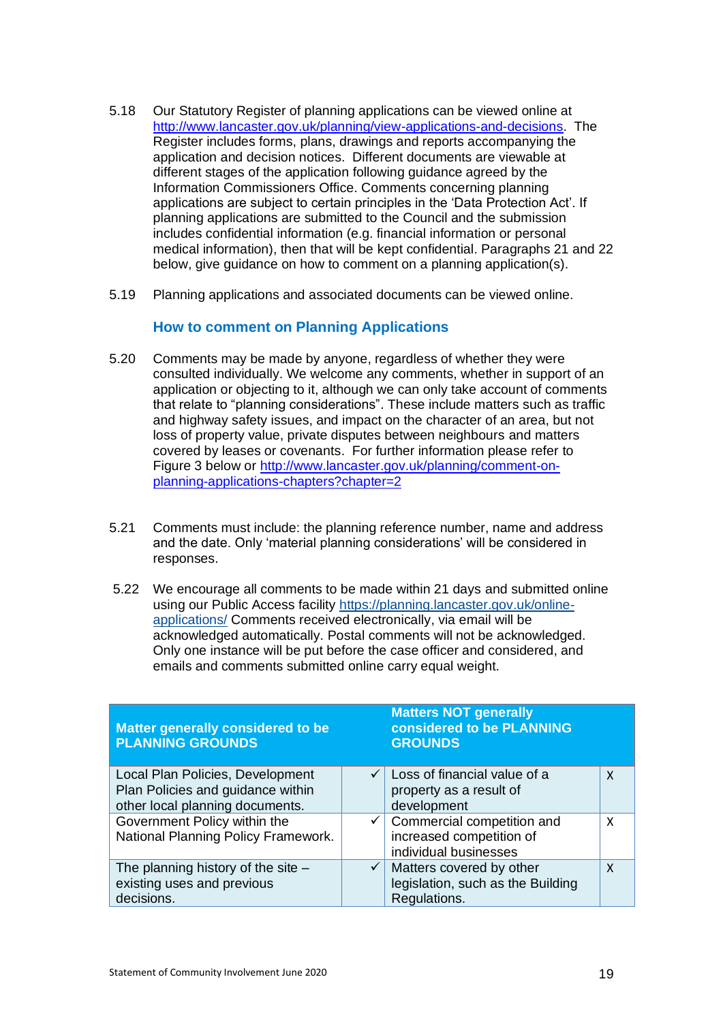- 5.18 Our Statutory Register of planning applications can be viewed online at [http://www.lancaster.gov.uk/planning/view-applications-and-decisions.](http://www.lancaster.gov.uk/planning/view-applications-and-decisions) The Register includes forms, plans, drawings and reports accompanying the application and decision notices. Different documents are viewable at different stages of the application following guidance agreed by the Information Commissioners Office. Comments concerning planning applications are subject to certain principles in the 'Data Protection Act'. If planning applications are submitted to the Council and the submission includes confidential information (e.g. financial information or personal medical information), then that will be kept confidential. Paragraphs 21 and 22 below, give guidance on how to comment on a planning application(s).
- <span id="page-18-0"></span>5.19 Planning applications and associated documents can be viewed online.

#### **How to comment on Planning Applications**

- 5.20 Comments may be made by anyone, regardless of whether they were consulted individually. We welcome any comments, whether in support of an application or objecting to it, although we can only take account of comments that relate to "planning considerations". These include matters such as traffic and highway safety issues, and impact on the character of an area, but not loss of property value, private disputes between neighbours and matters covered by leases or covenants. For further information please refer to Figure 3 below or [http://www.lancaster.gov.uk/planning/comment-on](http://www.lancaster.gov.uk/planning/comment-on-planning-applications-chapters?chapter=2)[planning-applications-chapters?chapter=2](http://www.lancaster.gov.uk/planning/comment-on-planning-applications-chapters?chapter=2)
- 5.21 Comments must include: the planning reference number, name and address and the date. Only 'material planning considerations' will be considered in responses.
- 5.22 We encourage all comments to be made within 21 days and submitted online using our Public Access facility [https://planning.lancaster.gov.uk/online](https://planning.lancaster.gov.uk/online-applications/)[applications/](https://planning.lancaster.gov.uk/online-applications/) Comments received electronically, via email will be acknowledged automatically. Postal comments will not be acknowledged. Only one instance will be put before the case officer and considered, and emails and comments submitted online carry equal weight.

| Matter generally considered to be<br><b>PLANNING GROUNDS</b>                                             |              | <b>Matters NOT generally</b><br>considered to be PLANNING<br><b>GROUNDS</b>         |   |
|----------------------------------------------------------------------------------------------------------|--------------|-------------------------------------------------------------------------------------|---|
| Local Plan Policies, Development<br>Plan Policies and guidance within<br>other local planning documents. |              | $\checkmark$ Loss of financial value of a<br>property as a result of<br>development | X |
| Government Policy within the<br>National Planning Policy Framework.                                      | $\checkmark$ | Commercial competition and<br>increased competition of<br>individual businesses     | X |
| The planning history of the site $-$<br>existing uses and previous<br>decisions.                         | $\checkmark$ | Matters covered by other<br>legislation, such as the Building<br>Regulations.       | X |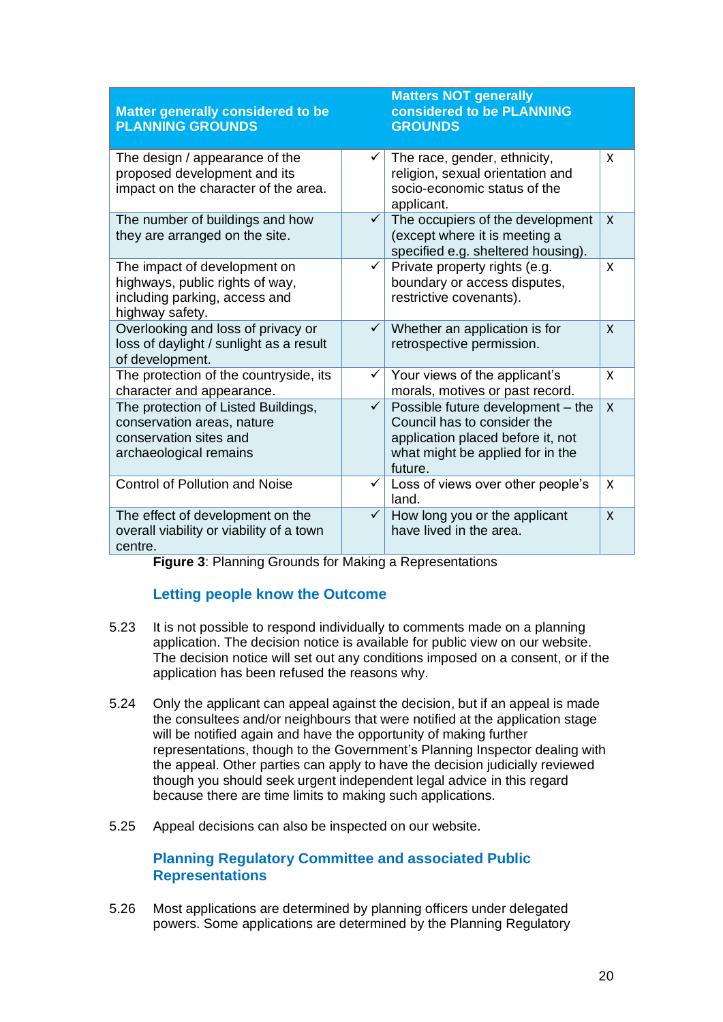| <b>Matter generally considered to be</b><br><b>PLANNING GROUNDS</b>                                                   |              | <b>Matters NOT generally</b><br><b>considered to be PLANNING</b><br><b>GROUNDS</b>                                                                   |              |
|-----------------------------------------------------------------------------------------------------------------------|--------------|------------------------------------------------------------------------------------------------------------------------------------------------------|--------------|
| The design / appearance of the<br>proposed development and its<br>impact on the character of the area.                | ✓            | The race, gender, ethnicity,<br>religion, sexual orientation and<br>socio-economic status of the<br>applicant.                                       | X            |
| The number of buildings and how<br>they are arranged on the site.                                                     | $\checkmark$ | The occupiers of the development<br>(except where it is meeting a<br>specified e.g. sheltered housing).                                              | $\mathsf{X}$ |
| The impact of development on<br>highways, public rights of way,<br>including parking, access and<br>highway safety.   | ✓            | Private property rights (e.g.<br>boundary or access disputes,<br>restrictive covenants).                                                             | X            |
| Overlooking and loss of privacy or<br>loss of daylight / sunlight as a result<br>of development.                      | ✓            | Whether an application is for<br>retrospective permission.                                                                                           | X            |
| The protection of the countryside, its<br>character and appearance.                                                   | ✓            | Your views of the applicant's<br>morals, motives or past record.                                                                                     | X            |
| The protection of Listed Buildings,<br>conservation areas, nature<br>conservation sites and<br>archaeological remains | $\checkmark$ | Possible future development – the<br>Council has to consider the<br>application placed before it, not<br>what might be applied for in the<br>future. | $\mathsf{x}$ |
| <b>Control of Pollution and Noise</b>                                                                                 | ✓            | Loss of views over other people's<br>land.                                                                                                           | X            |
| The effect of development on the<br>overall viability or viability of a town<br>centre.                               | ✓            | How long you or the applicant<br>have lived in the area.                                                                                             | X            |

**Figure 3**: Planning Grounds for Making a Representations

#### <span id="page-19-0"></span>**Letting people know the Outcome**

- 5.23 It is not possible to respond individually to comments made on a planning application. The decision notice is available for public view on our website. The decision notice will set out any conditions imposed on a consent, or if the application has been refused the reasons why.
- 5.24 Only the applicant can appeal against the decision, but if an appeal is made the consultees and/or neighbours that were notified at the application stage will be notified again and have the opportunity of making further representations, though to the Government's Planning Inspector dealing with the appeal. Other parties can apply to have the decision judicially reviewed though you should seek urgent independent legal advice in this regard because there are time limits to making such applications.
- <span id="page-19-1"></span>5.25 Appeal decisions can also be inspected on our website.

#### **Planning Regulatory Committee and associated Public Representations**

5.26 Most applications are determined by planning officers under delegated powers. Some applications are determined by the Planning Regulatory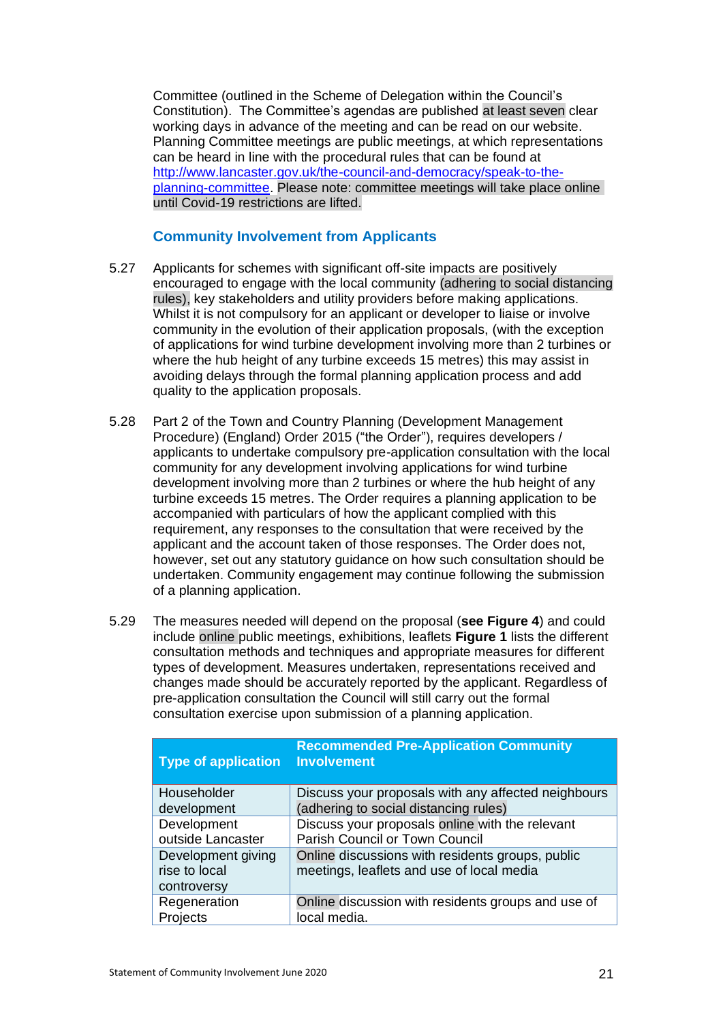Committee (outlined in the Scheme of Delegation within the Council's Constitution). The Committee's agendas are published at least seven clear working days in advance of the meeting and can be read on our website. Planning Committee meetings are public meetings, at which representations can be heard in line with the procedural rules that can be found at [http://www.lancaster.gov.uk/the-council-and-democracy/speak-to-the](http://www.lancaster.gov.uk/the-council-and-democracy/speak-to-the-planning-committee)[planning-committee.](http://www.lancaster.gov.uk/the-council-and-democracy/speak-to-the-planning-committee) Please note: committee meetings will take place online until Covid-19 restrictions are lifted.

#### **Community Involvement from Applicants**

- <span id="page-20-0"></span>5.27 Applicants for schemes with significant off-site impacts are positively encouraged to engage with the local community (adhering to social distancing rules), key stakeholders and utility providers before making applications. Whilst it is not compulsory for an applicant or developer to liaise or involve community in the evolution of their application proposals, (with the exception of applications for wind turbine development involving more than 2 turbines or where the hub height of any turbine exceeds 15 metres) this may assist in avoiding delays through the formal planning application process and add quality to the application proposals.
- 5.28 Part 2 of the Town and Country Planning (Development Management Procedure) (England) Order 2015 ("the Order"), requires developers / applicants to undertake compulsory pre-application consultation with the local community for any development involving applications for wind turbine development involving more than 2 turbines or where the hub height of any turbine exceeds 15 metres. The Order requires a planning application to be accompanied with particulars of how the applicant complied with this requirement, any responses to the consultation that were received by the applicant and the account taken of those responses. The Order does not, however, set out any statutory guidance on how such consultation should be undertaken. Community engagement may continue following the submission of a planning application.
- 5.29 The measures needed will depend on the proposal (**see Figure 4**) and could include online public meetings, exhibitions, leaflets **Figure 1** lists the different consultation methods and techniques and appropriate measures for different types of development. Measures undertaken, representations received and changes made should be accurately reported by the applicant. Regardless of pre-application consultation the Council will still carry out the formal consultation exercise upon submission of a planning application.

| Type of application | <b>Recommended Pre-Application Community</b><br><b>Involvement</b> |
|---------------------|--------------------------------------------------------------------|
| Householder         | Discuss your proposals with any affected neighbours                |
| development         | (adhering to social distancing rules)                              |
| Development         | Discuss your proposals online with the relevant                    |
| outside Lancaster   | Parish Council or Town Council                                     |
| Development giving  | Online discussions with residents groups, public                   |
| rise to local       | meetings, leaflets and use of local media                          |
| controversy         |                                                                    |
| Regeneration        | Online discussion with residents groups and use of                 |
| Projects            | local media.                                                       |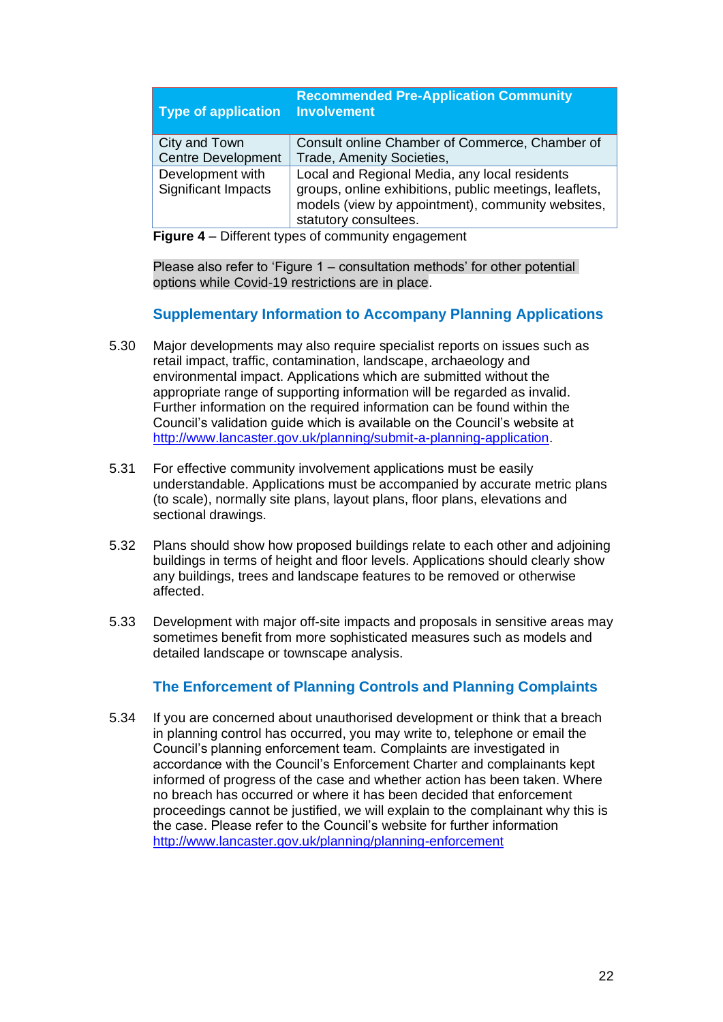| <b>Type of application</b>                 | <b>Recommended Pre-Application Community</b><br><b>Involvement</b>                                                                                                                    |
|--------------------------------------------|---------------------------------------------------------------------------------------------------------------------------------------------------------------------------------------|
| City and Town<br><b>Centre Development</b> | Consult online Chamber of Commerce, Chamber of<br>Trade, Amenity Societies,                                                                                                           |
| Development with<br>Significant Impacts    | Local and Regional Media, any local residents<br>groups, online exhibitions, public meetings, leaflets,<br>models (view by appointment), community websites,<br>statutory consultees. |

**Figure 4** – Different types of community engagement

Please also refer to 'Figure 1 – consultation methods' for other potential options while Covid-19 restrictions are in place.

#### **Supplementary Information to Accompany Planning Applications**

- <span id="page-21-0"></span>5.30 Major developments may also require specialist reports on issues such as retail impact, traffic, contamination, landscape, archaeology and environmental impact. Applications which are submitted without the appropriate range of supporting information will be regarded as invalid. Further information on the required information can be found within the Council's validation guide which is available on the Council's website at http://www.lancaster.gov.uk/planning/submit-a-planning-application.
- 5.31 For effective community involvement applications must be easily understandable. Applications must be accompanied by accurate metric plans (to scale), normally site plans, layout plans, floor plans, elevations and sectional drawings.
- 5.32 Plans should show how proposed buildings relate to each other and adjoining buildings in terms of height and floor levels. Applications should clearly show any buildings, trees and landscape features to be removed or otherwise affected.
- 5.33 Development with major off-site impacts and proposals in sensitive areas may sometimes benefit from more sophisticated measures such as models and detailed landscape or townscape analysis.

#### **The Enforcement of Planning Controls and Planning Complaints**

<span id="page-21-1"></span>5.34 If you are concerned about unauthorised development or think that a breach in planning control has occurred, you may write to, telephone or email the Council's planning enforcement team. Complaints are investigated in accordance with the Council's Enforcement Charter and complainants kept informed of progress of the case and whether action has been taken. Where no breach has occurred or where it has been decided that enforcement proceedings cannot be justified, we will explain to the complainant why this is the case. Please refer to the Council's website for further information <http://www.lancaster.gov.uk/planning/planning-enforcement>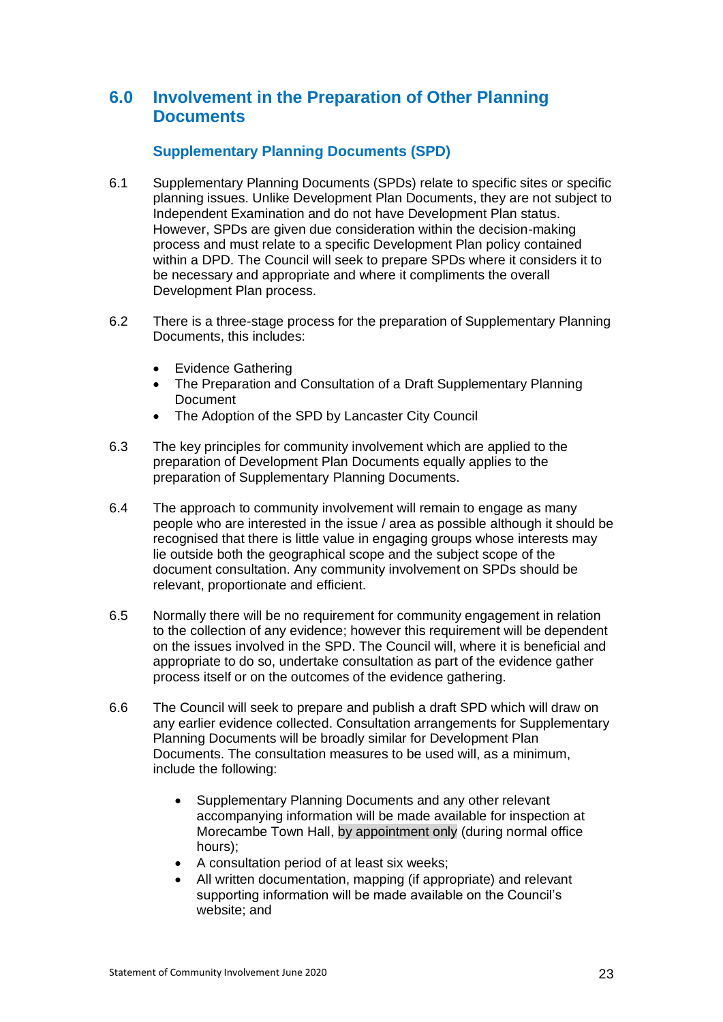# <span id="page-22-0"></span>**6.0 Involvement in the Preparation of Other Planning Documents**

#### **Supplementary Planning Documents (SPD)**

- <span id="page-22-1"></span>6.1 Supplementary Planning Documents (SPDs) relate to specific sites or specific planning issues. Unlike Development Plan Documents, they are not subject to Independent Examination and do not have Development Plan status. However, SPDs are given due consideration within the decision-making process and must relate to a specific Development Plan policy contained within a DPD. The Council will seek to prepare SPDs where it considers it to be necessary and appropriate and where it compliments the overall Development Plan process.
- 6.2 There is a three-stage process for the preparation of Supplementary Planning Documents, this includes:
	- Evidence Gathering
	- The Preparation and Consultation of a Draft Supplementary Planning Document
	- The Adoption of the SPD by Lancaster City Council
- 6.3 The key principles for community involvement which are applied to the preparation of Development Plan Documents equally applies to the preparation of Supplementary Planning Documents.
- 6.4 The approach to community involvement will remain to engage as many people who are interested in the issue / area as possible although it should be recognised that there is little value in engaging groups whose interests may lie outside both the geographical scope and the subject scope of the document consultation. Any community involvement on SPDs should be relevant, proportionate and efficient.
- 6.5 Normally there will be no requirement for community engagement in relation to the collection of any evidence; however this requirement will be dependent on the issues involved in the SPD. The Council will, where it is beneficial and appropriate to do so, undertake consultation as part of the evidence gather process itself or on the outcomes of the evidence gathering.
- 6.6 The Council will seek to prepare and publish a draft SPD which will draw on any earlier evidence collected. Consultation arrangements for Supplementary Planning Documents will be broadly similar for Development Plan Documents. The consultation measures to be used will, as a minimum, include the following:
	- Supplementary Planning Documents and any other relevant accompanying information will be made available for inspection at Morecambe Town Hall, by appointment only (during normal office hours);
	- A consultation period of at least six weeks;
	- All written documentation, mapping (if appropriate) and relevant supporting information will be made available on the Council's website; and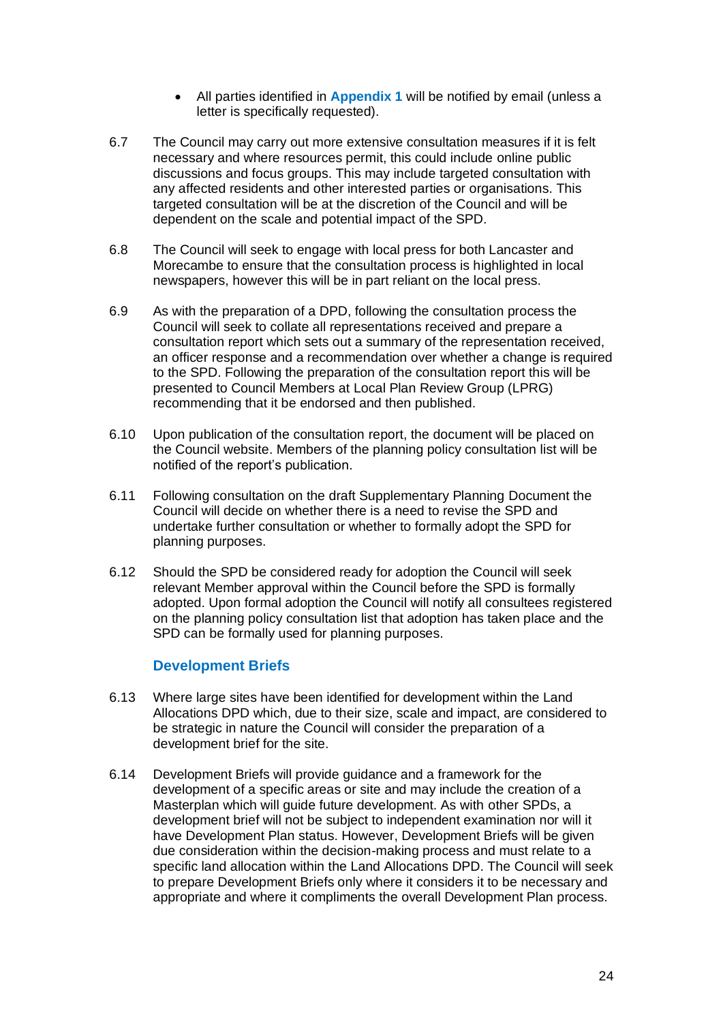- All parties identified in **Appendix 1** will be notified by email (unless a letter is specifically requested).
- 6.7 The Council may carry out more extensive consultation measures if it is felt necessary and where resources permit, this could include online public discussions and focus groups. This may include targeted consultation with any affected residents and other interested parties or organisations. This targeted consultation will be at the discretion of the Council and will be dependent on the scale and potential impact of the SPD.
- 6.8 The Council will seek to engage with local press for both Lancaster and Morecambe to ensure that the consultation process is highlighted in local newspapers, however this will be in part reliant on the local press.
- 6.9 As with the preparation of a DPD, following the consultation process the Council will seek to collate all representations received and prepare a consultation report which sets out a summary of the representation received, an officer response and a recommendation over whether a change is required to the SPD. Following the preparation of the consultation report this will be presented to Council Members at Local Plan Review Group (LPRG) recommending that it be endorsed and then published.
- 6.10 Upon publication of the consultation report, the document will be placed on the Council website. Members of the planning policy consultation list will be notified of the report's publication.
- 6.11 Following consultation on the draft Supplementary Planning Document the Council will decide on whether there is a need to revise the SPD and undertake further consultation or whether to formally adopt the SPD for planning purposes.
- 6.12 Should the SPD be considered ready for adoption the Council will seek relevant Member approval within the Council before the SPD is formally adopted. Upon formal adoption the Council will notify all consultees registered on the planning policy consultation list that adoption has taken place and the SPD can be formally used for planning purposes.

#### **Development Briefs**

- <span id="page-23-0"></span>6.13 Where large sites have been identified for development within the Land Allocations DPD which, due to their size, scale and impact, are considered to be strategic in nature the Council will consider the preparation of a development brief for the site.
- 6.14 Development Briefs will provide guidance and a framework for the development of a specific areas or site and may include the creation of a Masterplan which will guide future development. As with other SPDs, a development brief will not be subject to independent examination nor will it have Development Plan status. However, Development Briefs will be given due consideration within the decision-making process and must relate to a specific land allocation within the Land Allocations DPD. The Council will seek to prepare Development Briefs only where it considers it to be necessary and appropriate and where it compliments the overall Development Plan process.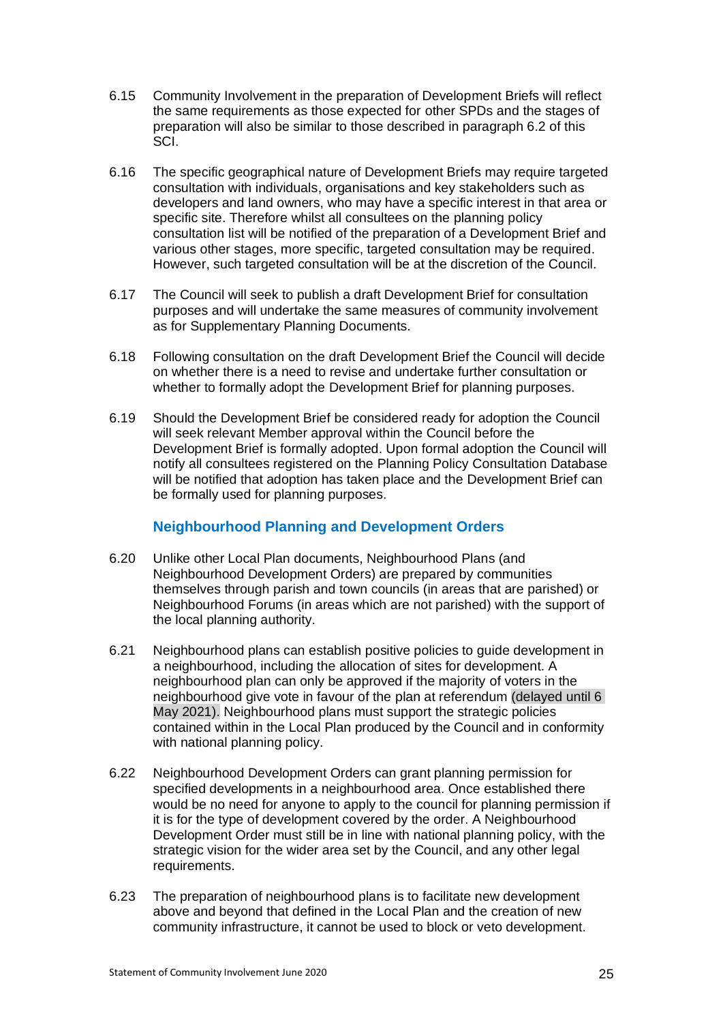- 6.15 Community Involvement in the preparation of Development Briefs will reflect the same requirements as those expected for other SPDs and the stages of preparation will also be similar to those described in paragraph 6.2 of this SCI.
- 6.16 The specific geographical nature of Development Briefs may require targeted consultation with individuals, organisations and key stakeholders such as developers and land owners, who may have a specific interest in that area or specific site. Therefore whilst all consultees on the planning policy consultation list will be notified of the preparation of a Development Brief and various other stages, more specific, targeted consultation may be required. However, such targeted consultation will be at the discretion of the Council.
- 6.17 The Council will seek to publish a draft Development Brief for consultation purposes and will undertake the same measures of community involvement as for Supplementary Planning Documents.
- 6.18 Following consultation on the draft Development Brief the Council will decide on whether there is a need to revise and undertake further consultation or whether to formally adopt the Development Brief for planning purposes.
- 6.19 Should the Development Brief be considered ready for adoption the Council will seek relevant Member approval within the Council before the Development Brief is formally adopted. Upon formal adoption the Council will notify all consultees registered on the Planning Policy Consultation Database will be notified that adoption has taken place and the Development Brief can be formally used for planning purposes.

#### **Neighbourhood Planning and Development Orders**

- <span id="page-24-0"></span>6.20 Unlike other Local Plan documents, Neighbourhood Plans (and Neighbourhood Development Orders) are prepared by communities themselves through parish and town councils (in areas that are parished) or Neighbourhood Forums (in areas which are not parished) with the support of the local planning authority.
- 6.21 Neighbourhood plans can establish positive policies to guide development in a neighbourhood, including the allocation of sites for development. A neighbourhood plan can only be approved if the majority of voters in the neighbourhood give vote in favour of the plan at referendum (delayed until 6 May 2021). Neighbourhood plans must support the strategic policies contained within in the Local Plan produced by the Council and in conformity with national planning policy.
- 6.22 Neighbourhood Development Orders can grant planning permission for specified developments in a neighbourhood area. Once established there would be no need for anyone to apply to the council for planning permission if it is for the type of development covered by the order. A Neighbourhood Development Order must still be in line with national planning policy, with the strategic vision for the wider area set by the Council, and any other legal requirements.
- 6.23 The preparation of neighbourhood plans is to facilitate new development above and beyond that defined in the Local Plan and the creation of new community infrastructure, it cannot be used to block or veto development.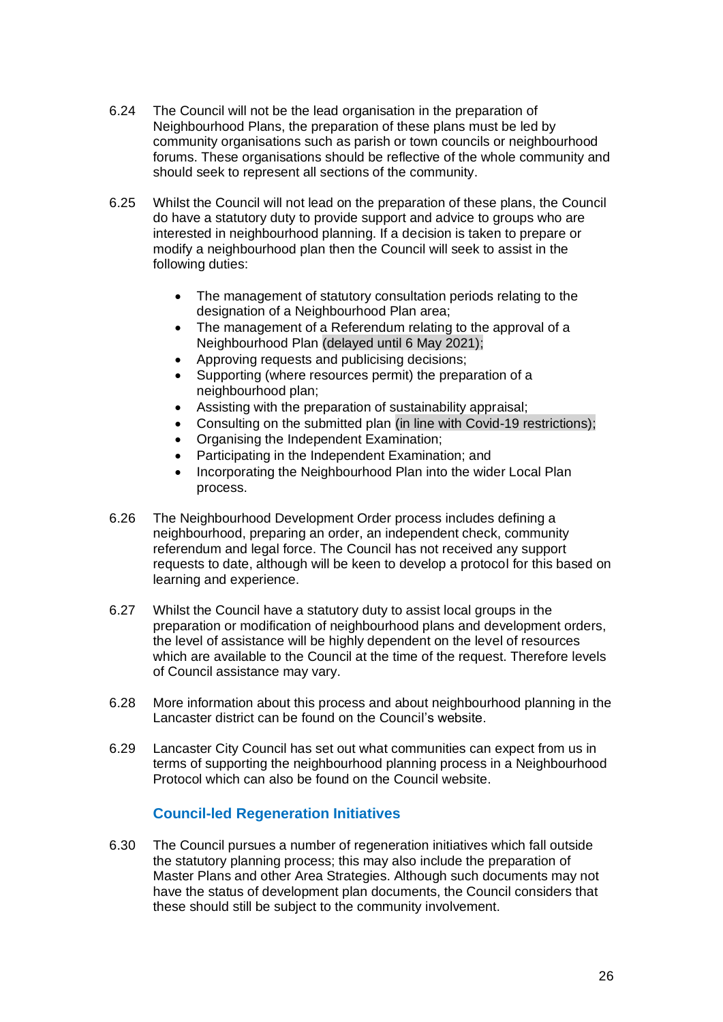- 6.24 The Council will not be the lead organisation in the preparation of Neighbourhood Plans, the preparation of these plans must be led by community organisations such as parish or town councils or neighbourhood forums. These organisations should be reflective of the whole community and should seek to represent all sections of the community.
- 6.25 Whilst the Council will not lead on the preparation of these plans, the Council do have a statutory duty to provide support and advice to groups who are interested in neighbourhood planning. If a decision is taken to prepare or modify a neighbourhood plan then the Council will seek to assist in the following duties:
	- The management of statutory consultation periods relating to the designation of a Neighbourhood Plan area;
	- The management of a Referendum relating to the approval of a Neighbourhood Plan (delayed until 6 May 2021);
	- Approving requests and publicising decisions;
	- Supporting (where resources permit) the preparation of a neighbourhood plan;
	- Assisting with the preparation of sustainability appraisal;
	- Consulting on the submitted plan (in line with Covid-19 restrictions):
	- Organising the Independent Examination;
	- Participating in the Independent Examination; and
	- Incorporating the Neighbourhood Plan into the wider Local Plan process.
- 6.26 The Neighbourhood Development Order process includes defining a neighbourhood, preparing an order, an independent check, community referendum and legal force. The Council has not received any support requests to date, although will be keen to develop a protocol for this based on learning and experience.
- 6.27 Whilst the Council have a statutory duty to assist local groups in the preparation or modification of neighbourhood plans and development orders, the level of assistance will be highly dependent on the level of resources which are available to the Council at the time of the request. Therefore levels of Council assistance may vary.
- 6.28 More information about this process and about neighbourhood planning in the Lancaster district can be found on the Council's website.
- 6.29 Lancaster City Council has set out what communities can expect from us in terms of supporting the neighbourhood planning process in a Neighbourhood Protocol which can also be found on the Council website.

#### **Council-led Regeneration Initiatives**

<span id="page-25-0"></span>6.30 The Council pursues a number of regeneration initiatives which fall outside the statutory planning process; this may also include the preparation of Master Plans and other Area Strategies. Although such documents may not have the status of development plan documents, the Council considers that these should still be subject to the community involvement.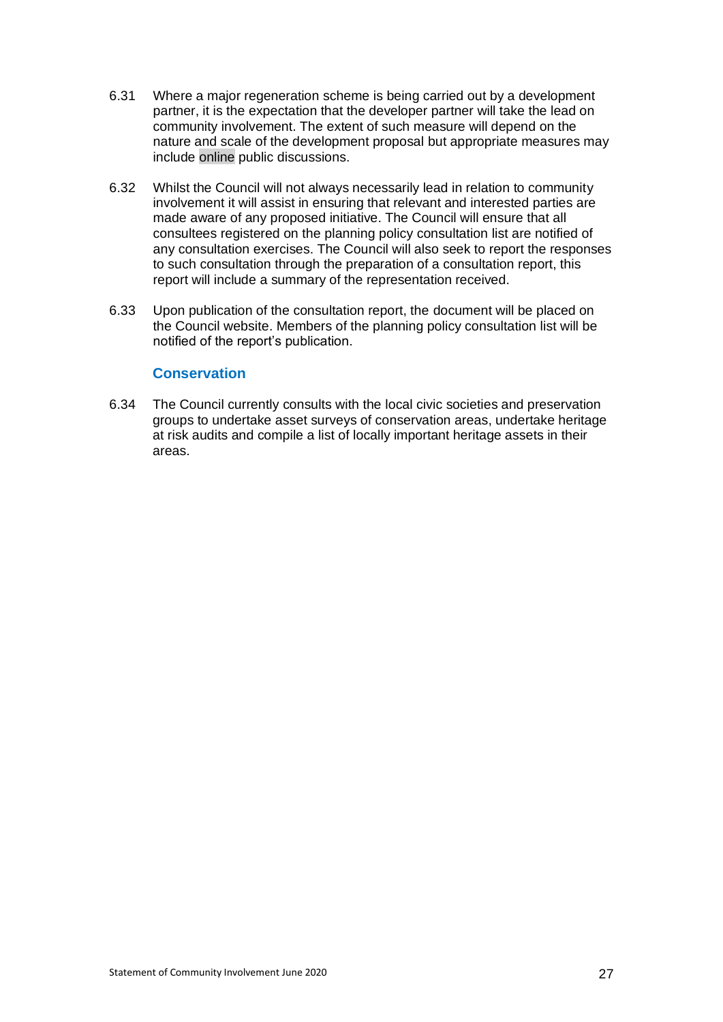- 6.31 Where a major regeneration scheme is being carried out by a development partner, it is the expectation that the developer partner will take the lead on community involvement. The extent of such measure will depend on the nature and scale of the development proposal but appropriate measures may include online public discussions.
- 6.32 Whilst the Council will not always necessarily lead in relation to community involvement it will assist in ensuring that relevant and interested parties are made aware of any proposed initiative. The Council will ensure that all consultees registered on the planning policy consultation list are notified of any consultation exercises. The Council will also seek to report the responses to such consultation through the preparation of a consultation report, this report will include a summary of the representation received.
- 6.33 Upon publication of the consultation report, the document will be placed on the Council website. Members of the planning policy consultation list will be notified of the report's publication.

#### **Conservation**

<span id="page-26-0"></span>6.34 The Council currently consults with the local civic societies and preservation groups to undertake asset surveys of conservation areas, undertake heritage at risk audits and compile a list of locally important heritage assets in their areas.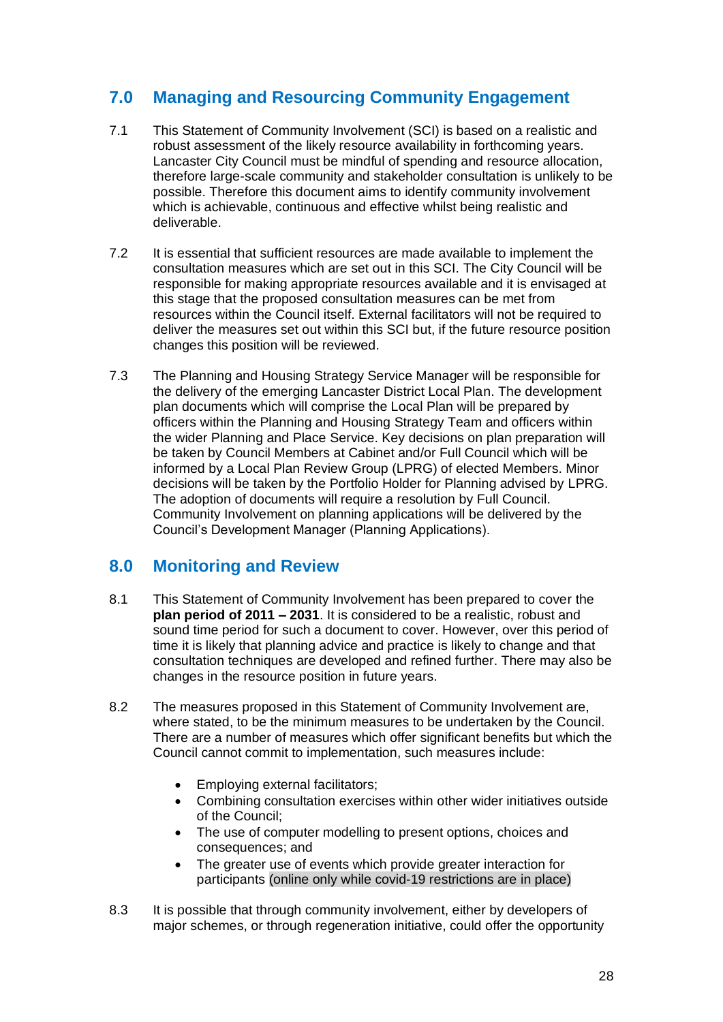# <span id="page-27-0"></span>**7.0 Managing and Resourcing Community Engagement**

- 7.1 This Statement of Community Involvement (SCI) is based on a realistic and robust assessment of the likely resource availability in forthcoming years. Lancaster City Council must be mindful of spending and resource allocation, therefore large-scale community and stakeholder consultation is unlikely to be possible. Therefore this document aims to identify community involvement which is achievable, continuous and effective whilst being realistic and deliverable.
- 7.2 It is essential that sufficient resources are made available to implement the consultation measures which are set out in this SCI. The City Council will be responsible for making appropriate resources available and it is envisaged at this stage that the proposed consultation measures can be met from resources within the Council itself. External facilitators will not be required to deliver the measures set out within this SCI but, if the future resource position changes this position will be reviewed.
- 7.3 The Planning and Housing Strategy Service Manager will be responsible for the delivery of the emerging Lancaster District Local Plan. The development plan documents which will comprise the Local Plan will be prepared by officers within the Planning and Housing Strategy Team and officers within the wider Planning and Place Service. Key decisions on plan preparation will be taken by Council Members at Cabinet and/or Full Council which will be informed by a Local Plan Review Group (LPRG) of elected Members. Minor decisions will be taken by the Portfolio Holder for Planning advised by LPRG. The adoption of documents will require a resolution by Full Council. Community Involvement on planning applications will be delivered by the Council's Development Manager (Planning Applications).

# <span id="page-27-1"></span>**8.0 Monitoring and Review**

- 8.1 This Statement of Community Involvement has been prepared to cover the **plan period of 2011 – 2031**. It is considered to be a realistic, robust and sound time period for such a document to cover. However, over this period of time it is likely that planning advice and practice is likely to change and that consultation techniques are developed and refined further. There may also be changes in the resource position in future years.
- 8.2 The measures proposed in this Statement of Community Involvement are, where stated, to be the minimum measures to be undertaken by the Council. There are a number of measures which offer significant benefits but which the Council cannot commit to implementation, such measures include:
	- Employing external facilitators;
	- Combining consultation exercises within other wider initiatives outside of the Council;
	- The use of computer modelling to present options, choices and consequences; and
	- The greater use of events which provide greater interaction for participants (online only while covid-19 restrictions are in place)
- 8.3 It is possible that through community involvement, either by developers of major schemes, or through regeneration initiative, could offer the opportunity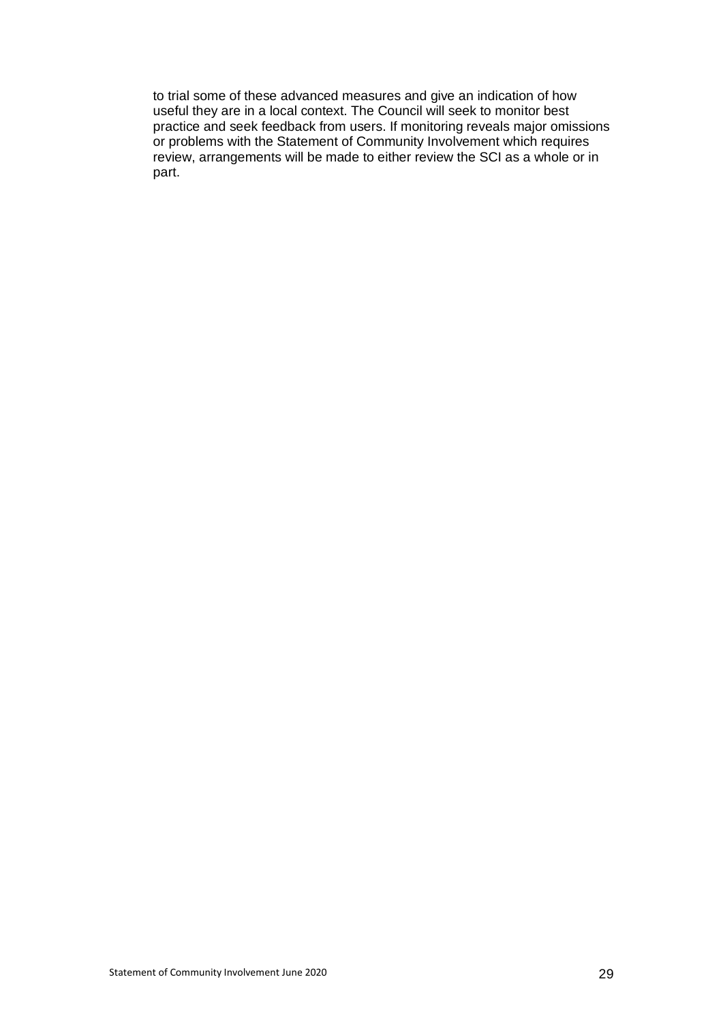to trial some of these advanced measures and give an indication of how useful they are in a local context. The Council will seek to monitor best practice and seek feedback from users. If monitoring reveals major omissions or problems with the Statement of Community Involvement which requires review, arrangements will be made to either review the SCI as a whole or in part.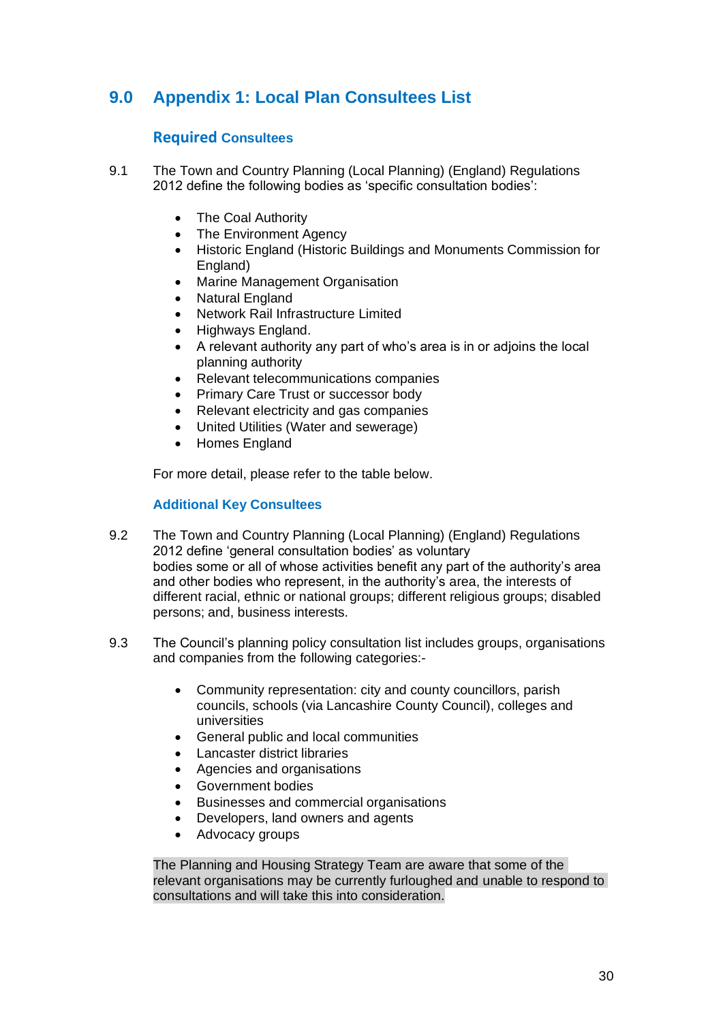# <span id="page-29-0"></span>**9.0 Appendix 1: Local Plan Consultees List**

#### **Required Consultees**

- 9.1 The Town and Country Planning (Local Planning) (England) Regulations 2012 define the following bodies as 'specific consultation bodies':
	- The Coal Authority
	- The Environment Agency
	- Historic England (Historic Buildings and Monuments Commission for England)
	- Marine Management Organisation
	- Natural England
	- Network Rail Infrastructure Limited
	- Highways England.
	- A relevant authority any part of who's area is in or adjoins the local planning authority
	- Relevant telecommunications companies
	- Primary Care Trust or successor body
	- Relevant electricity and gas companies
	- United Utilities (Water and sewerage)
	- Homes England

For more detail, please refer to the table below.

#### **Additional Key Consultees**

- 9.2 The Town and Country Planning (Local Planning) (England) Regulations 2012 define 'general consultation bodies' as voluntary bodies some or all of whose activities benefit any part of the authority's area and other bodies who represent, in the authority's area, the interests of different racial, ethnic or national groups; different religious groups; disabled persons; and, business interests.
- 9.3 The Council's planning policy consultation list includes groups, organisations and companies from the following categories:-
	- Community representation: city and county councillors, parish councils, schools (via Lancashire County Council), colleges and universities
	- General public and local communities
	- Lancaster district libraries
	- Agencies and organisations
	- Government bodies
	- Businesses and commercial organisations
	- Developers, land owners and agents
	- Advocacy groups

The Planning and Housing Strategy Team are aware that some of the relevant organisations may be currently furloughed and unable to respond to consultations and will take this into consideration.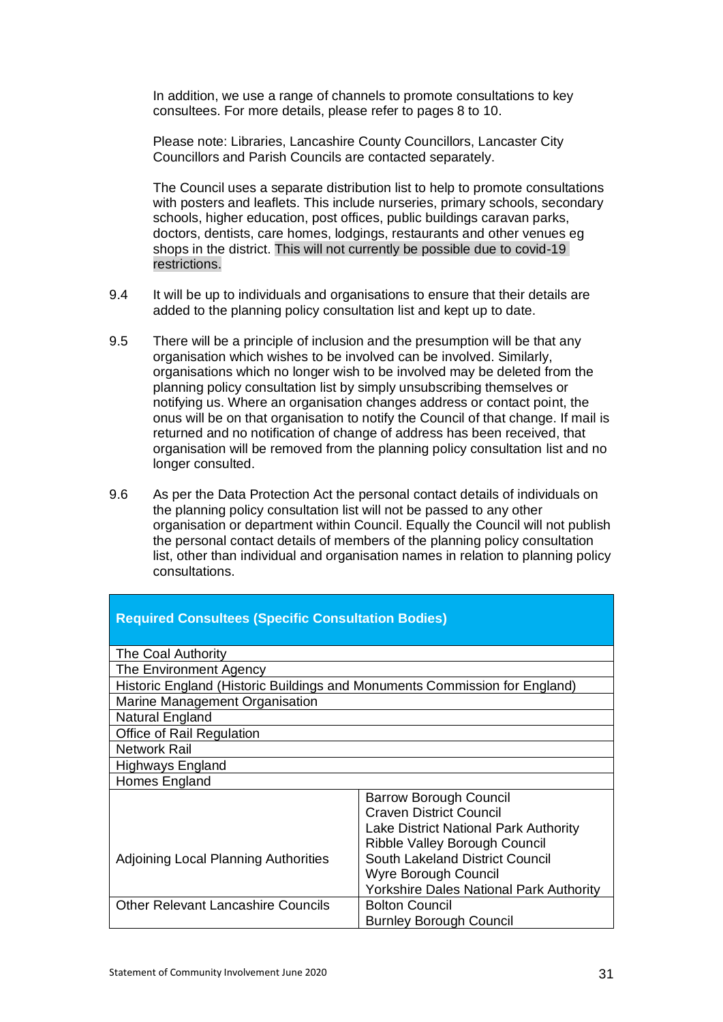In addition, we use a range of channels to promote consultations to key consultees. For more details, please refer to pages 8 to 10.

Please note: Libraries, Lancashire County Councillors, Lancaster City Councillors and Parish Councils are contacted separately.

The Council uses a separate distribution list to help to promote consultations with posters and leaflets. This include nurseries, primary schools, secondary schools, higher education, post offices, public buildings caravan parks, doctors, dentists, care homes, lodgings, restaurants and other venues eg shops in the district. This will not currently be possible due to covid-19 restrictions.

- 9.4 It will be up to individuals and organisations to ensure that their details are added to the planning policy consultation list and kept up to date.
- 9.5 There will be a principle of inclusion and the presumption will be that any organisation which wishes to be involved can be involved. Similarly, organisations which no longer wish to be involved may be deleted from the planning policy consultation list by simply unsubscribing themselves or notifying us. Where an organisation changes address or contact point, the onus will be on that organisation to notify the Council of that change. If mail is returned and no notification of change of address has been received, that organisation will be removed from the planning policy consultation list and no longer consulted.
- 9.6 As per the Data Protection Act the personal contact details of individuals on the planning policy consultation list will not be passed to any other organisation or department within Council. Equally the Council will not publish the personal contact details of members of the planning policy consultation list, other than individual and organisation names in relation to planning policy consultations.

| <b>Required Consultees (Specific Consultation Bodies)</b>                  |                                                |  |
|----------------------------------------------------------------------------|------------------------------------------------|--|
|                                                                            |                                                |  |
| The Coal Authority                                                         |                                                |  |
| The Environment Agency                                                     |                                                |  |
| Historic England (Historic Buildings and Monuments Commission for England) |                                                |  |
| Marine Management Organisation                                             |                                                |  |
| Natural England                                                            |                                                |  |
| Office of Rail Regulation                                                  |                                                |  |
| <b>Network Rail</b>                                                        |                                                |  |
| <b>Highways England</b>                                                    |                                                |  |
| Homes England                                                              |                                                |  |
|                                                                            | <b>Barrow Borough Council</b>                  |  |
|                                                                            | <b>Craven District Council</b>                 |  |
|                                                                            | Lake District National Park Authority          |  |
|                                                                            | <b>Ribble Valley Borough Council</b>           |  |
| Adjoining Local Planning Authorities                                       | South Lakeland District Council                |  |
|                                                                            | Wyre Borough Council                           |  |
|                                                                            | <b>Yorkshire Dales National Park Authority</b> |  |
| <b>Other Relevant Lancashire Councils</b>                                  | <b>Bolton Council</b>                          |  |
|                                                                            | <b>Burnley Borough Council</b>                 |  |